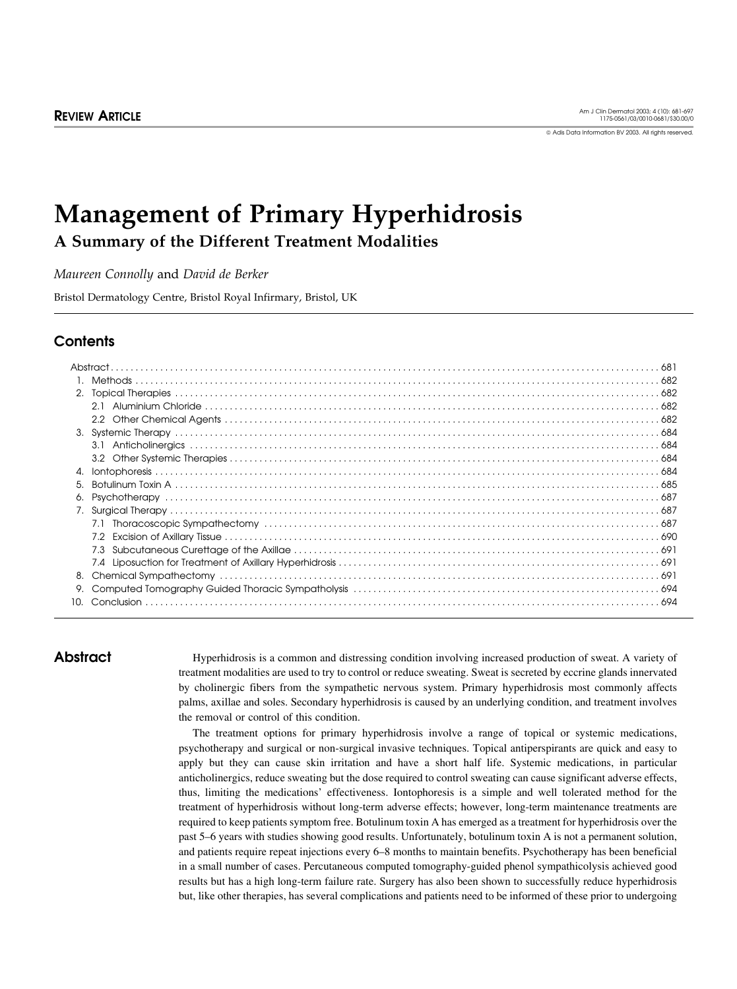Adis Data Information BV 2003. All rights reserved.

## **Management of Primary Hyperhidrosis A Summary of the Different Treatment Modalities**

*Maureen Connolly* and *David de Berker*

Bristol Dermatology Centre, Bristol Royal Infirmary, Bristol, UK

## **Contents**

| 2. |     |
|----|-----|
|    |     |
|    |     |
|    |     |
|    |     |
|    |     |
| 4. |     |
| 5. |     |
| 6. |     |
|    |     |
|    | 7.1 |
|    | 7.2 |
|    |     |
|    |     |
| 8. |     |
| 9. |     |
|    |     |
|    |     |

**Abstract** Hyperhidrosis is a common and distressing condition involving increased production of sweat. A variety of treatment modalities are used to try to control or reduce sweating. Sweat is secreted by eccrine glands innervated by cholinergic fibers from the sympathetic nervous system. Primary hyperhidrosis most commonly affects palms, axillae and soles. Secondary hyperhidrosis is caused by an underlying condition, and treatment involves the removal or control of this condition.

> The treatment options for primary hyperhidrosis involve a range of topical or systemic medications, psychotherapy and surgical or non-surgical invasive techniques. Topical antiperspirants are quick and easy to apply but they can cause skin irritation and have a short half life. Systemic medications, in particular anticholinergics, reduce sweating but the dose required to control sweating can cause significant adverse effects, thus, limiting the medications' effectiveness. Iontophoresis is a simple and well tolerated method for the treatment of hyperhidrosis without long-term adverse effects; however, long-term maintenance treatments are required to keep patients symptom free. Botulinum toxin A has emerged as a treatment for hyperhidrosis over the past 5–6 years with studies showing good results. Unfortunately, botulinum toxin A is not a permanent solution, and patients require repeat injections every 6–8 months to maintain benefits. Psychotherapy has been beneficial in a small number of cases. Percutaneous computed tomography-guided phenol sympathicolysis achieved good results but has a high long-term failure rate. Surgery has also been shown to successfully reduce hyperhidrosis but, like other therapies, has several complications and patients need to be informed of these prior to undergoing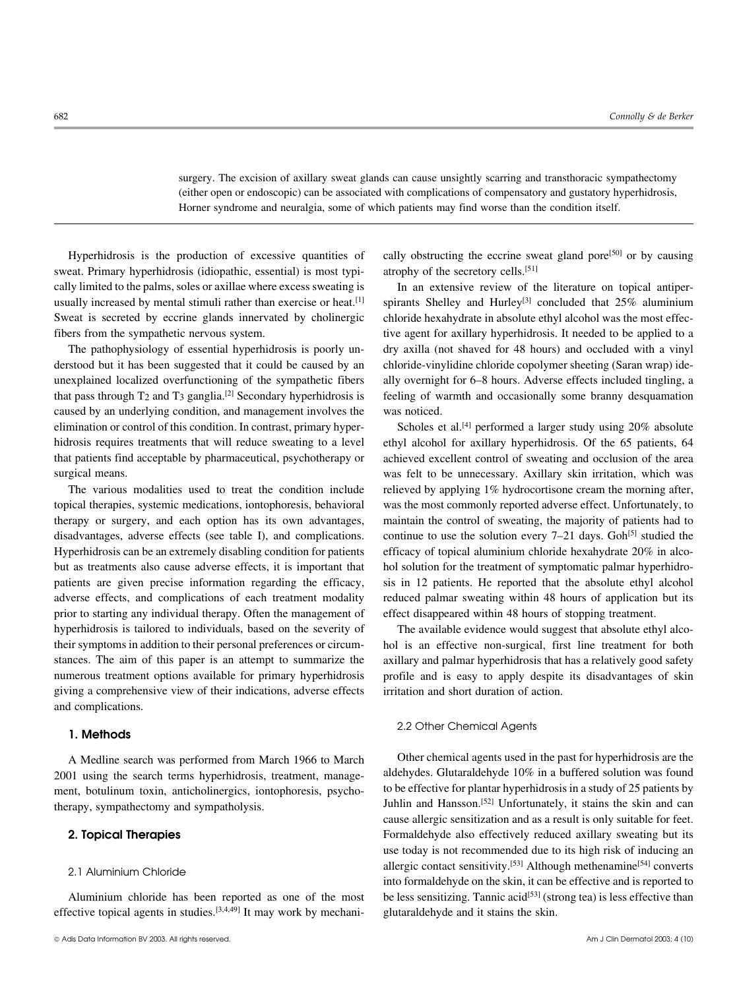surgery. The excision of axillary sweat glands can cause unsightly scarring and transthoracic sympathectomy (either open or endoscopic) can be associated with complications of compensatory and gustatory hyperhidrosis, Horner syndrome and neuralgia, some of which patients may find worse than the condition itself.

sweat. Primary hyperhidrosis (idiopathic, essential) is most typi-<br>atrophy of the secretory cells.<sup>[51]</sup> cally limited to the palms, soles or axillae where excess sweating is In an extensive review of the literature on topical antiper-

derstood but it has been suggested that it could be caused by an chloride-vinylidine chloride copolymer sheeting (Saran wrap) ideunexplained localized overfunctioning of the sympathetic fibers ally overnight for 6–8 hours. Adverse effects included tingling, a that pass through  $T_2$  and  $T_3$  ganglia.<sup>[2]</sup> Secondary hyperhidrosis is feeling of warmth and occasionally some branny desquamation caused by an underlying condition, and management involves the was noticed. elimination or control of this condition. In contrast, primary hyper-<br>Scholes et al.<sup>[4]</sup> performed a larger study using 20% absolute

topical therapies, systemic medications, iontophoresis, behavioral was the most commonly reported adverse effect. Unfortunately, to therapy or surgery, and each option has its own advantages, maintain the control of sweating, the majority of patients had to disadvantages, adverse effects (see table I), and complications. continue to use the solution every  $7-21$  days. Goh<sup>[5]</sup> studied the Hyperhidrosis can be an extremely disabling condition for patients efficacy of topical aluminium chloride hexahydrate 20% in alcobut as treatments also cause adverse effects, it is important that hol solution for the treatment of symptomatic palmar hyperhidropatients are given precise information regarding the efficacy, sis in 12 patients. He reported that the absolute ethyl alcohol adverse effects, and complications of each treatment modality reduced palmar sweating within 48 hours of application but its prior to starting any individual therapy. Often the management of effect disappeared within 48 hours of stopping treatment. hyperhidrosis is tailored to individuals, based on the severity of The available evidence would suggest that absolute ethyl alcotheir symptoms in addition to their personal preferences or circum- hol is an effective non-surgical, first line treatment for both stances. The aim of this paper is an attempt to summarize the axillary and palmar hyperhidrosis that has a relatively good safety numerous treatment options available for primary hyperhidrosis profile and is easy to apply despite its disadvantages of skin giving a comprehensive view of their indications, adverse effects irritation and short duration of action. and complications.

effective topical agents in studies.<sup>[3,4,49]</sup> It may work by mechani-<br>glutaraldehyde and it stains the skin.

Hyperhidrosis is the production of excessive quantities of cally obstructing the eccrine sweat gland pore<sup>[50]</sup> or by causing

usually increased by mental stimuli rather than exercise or heat.<sup>[1]</sup> spirants Shelley and Hurley<sup>[3]</sup> concluded that  $25\%$  aluminium Sweat is secreted by eccrine glands innervated by cholinergic chloride hexahydrate in absolute ethyl alcohol was the most effecfibers from the sympathetic nervous system. tive agent for axillary hyperhidrosis. It needed to be applied to a The pathophysiology of essential hyperhidrosis is poorly un- dry axilla (not shaved for 48 hours) and occluded with a vinyl

hidrosis requires treatments that will reduce sweating to a level ethyl alcohol for axillary hyperhidrosis. Of the 65 patients, 64 that patients find acceptable by pharmaceutical, psychotherapy or achieved excellent control of sweating and occlusion of the area surgical means. was felt to be unnecessary. Axillary skin irritation, which was The various modalities used to treat the condition include relieved by applying 1% hydrocortisone cream the morning after,

## 2.2 Other Chemical Agents **1. Methods**

A Medline search was performed from March 1966 to March Other chemical agents used in the past for hyperhidrosis are the 2001 using the search terms hyperhidrosis, treatment, manage- aldehydes. Glutaraldehyde 10% in a buffered solution was found ment, botulinum toxin, anticholinergics, iontophoresis, psycho- to be effective for plantar hyperhidrosis in a study of 25 patients by therapy, sympathectomy and sympatholysis. Juhlin and Hansson.<sup>[52]</sup> Unfortunately, it stains the skin and can cause allergic sensitization and as a result is only suitable for feet. **2. Topical Therapies** Formaldehyde also effectively reduced axillary sweating but its use today is not recommended due to its high risk of inducing an 2.1 Aluminium Chloride allergic contact sensitivity.<sup>[53]</sup> Although methenamine<sup>[54]</sup> converts into formaldehyde on the skin, it can be effective and is reported to Aluminium chloride has been reported as one of the most be less sensitizing. Tannic acid<sup>[53]</sup> (strong tea) is less effective than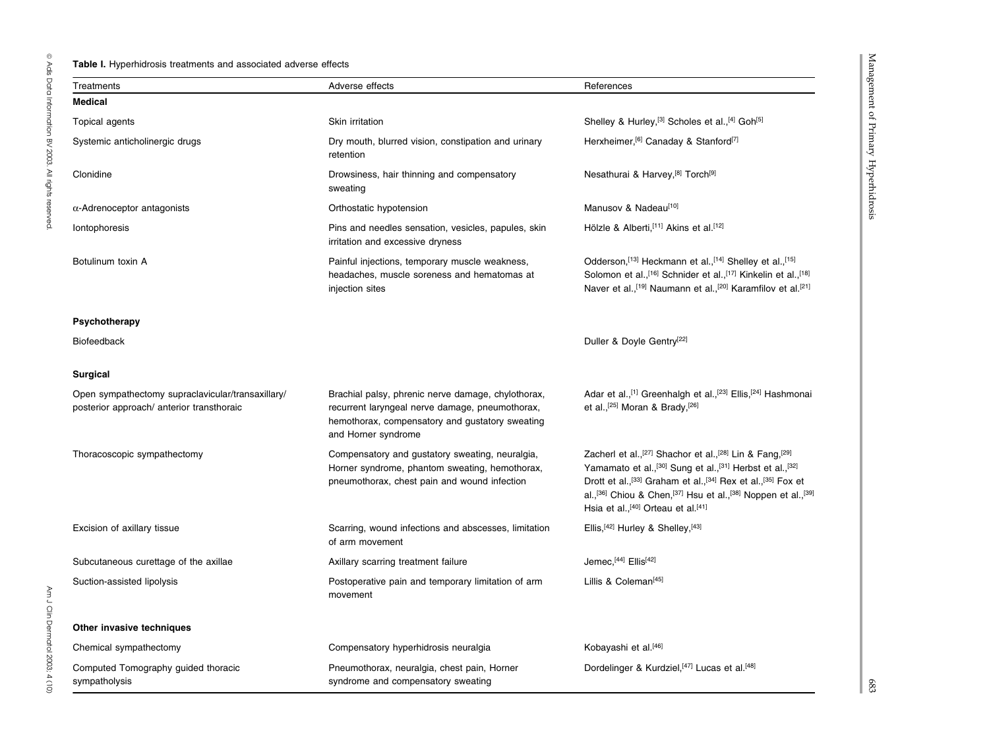| Treatments                                                                                     | Adverse effects                                                                                                                                                                 | References                                                                                                                                                                                                                                                                                                                                                                                                             |  |  |  |  |
|------------------------------------------------------------------------------------------------|---------------------------------------------------------------------------------------------------------------------------------------------------------------------------------|------------------------------------------------------------------------------------------------------------------------------------------------------------------------------------------------------------------------------------------------------------------------------------------------------------------------------------------------------------------------------------------------------------------------|--|--|--|--|
| <b>Medical</b>                                                                                 |                                                                                                                                                                                 |                                                                                                                                                                                                                                                                                                                                                                                                                        |  |  |  |  |
| Topical agents                                                                                 | Skin irritation                                                                                                                                                                 | Shelley & Hurley, <sup>[3]</sup> Scholes et al., <sup>[4]</sup> Goh <sup>[5]</sup>                                                                                                                                                                                                                                                                                                                                     |  |  |  |  |
| Systemic anticholinergic drugs                                                                 | Dry mouth, blurred vision, constipation and urinary<br>retention                                                                                                                | Herxheimer, [6] Canaday & Stanford <sup>[7]</sup>                                                                                                                                                                                                                                                                                                                                                                      |  |  |  |  |
| Clonidine                                                                                      | Drowsiness, hair thinning and compensatory<br>sweating                                                                                                                          | Nesathurai & Harvey, [8] Torch <sup>[9]</sup>                                                                                                                                                                                                                                                                                                                                                                          |  |  |  |  |
| $\alpha$ -Adrenoceptor antagonists                                                             | Orthostatic hypotension                                                                                                                                                         | Manusov & Nadeau <sup>[10]</sup>                                                                                                                                                                                                                                                                                                                                                                                       |  |  |  |  |
| lontophoresis                                                                                  | Pins and needles sensation, vesicles, papules, skin<br>irritation and excessive dryness                                                                                         | Hölzle & Alberti, [11] Akins et al. [12]                                                                                                                                                                                                                                                                                                                                                                               |  |  |  |  |
| Botulinum toxin A                                                                              | Painful injections, temporary muscle weakness,<br>headaches, muscle soreness and hematomas at<br>injection sites                                                                | Odderson, [13] Heckmann et al., [14] Shelley et al., [15]<br>Solomon et al., [16] Schnider et al., [17] Kinkelin et al., [18]<br>Naver et al., [19] Naumann et al., [20] Karamfilov et al. [21]                                                                                                                                                                                                                        |  |  |  |  |
| Psychotherapy                                                                                  |                                                                                                                                                                                 |                                                                                                                                                                                                                                                                                                                                                                                                                        |  |  |  |  |
| <b>Biofeedback</b>                                                                             |                                                                                                                                                                                 | Duller & Doyle Gentry <sup>[22]</sup>                                                                                                                                                                                                                                                                                                                                                                                  |  |  |  |  |
| <b>Surgical</b>                                                                                |                                                                                                                                                                                 |                                                                                                                                                                                                                                                                                                                                                                                                                        |  |  |  |  |
| Open sympathectomy supraclavicular/transaxillary/<br>posterior approach/ anterior transthoraic | Brachial palsy, phrenic nerve damage, chylothorax,<br>recurrent laryngeal nerve damage, pneumothorax,<br>hemothorax, compensatory and gustatory sweating<br>and Horner syndrome | Adar et al., <sup>[1]</sup> Greenhalgh et al., <sup>[23]</sup> Ellis, <sup>[24]</sup> Hashmonai<br>et al., <sup>[25]</sup> Moran & Brady, <sup>[26]</sup>                                                                                                                                                                                                                                                              |  |  |  |  |
| Thoracoscopic sympathectomy                                                                    | Compensatory and gustatory sweating, neuralgia,<br>Horner syndrome, phantom sweating, hemothorax,<br>pneumothorax, chest pain and wound infection                               | Zacherl et al., [27] Shachor et al., [28] Lin & Fang, [29]<br>Yamamato et al., <sup>[30]</sup> Sung et al., <sup>[31]</sup> Herbst et al., <sup>[32]</sup><br>Drott et al., <sup>[33]</sup> Graham et al., <sup>[34]</sup> Rex et al., <sup>[35]</sup> Fox et<br>al., <sup>[36]</sup> Chiou & Chen, <sup>[37]</sup> Hsu et al., <sup>[38]</sup> Noppen et al., <sup>[39]</sup><br>Hsia et al., [40] Orteau et al. [41] |  |  |  |  |
| Excision of axillary tissue                                                                    | Scarring, wound infections and abscesses, limitation<br>of arm movement                                                                                                         | Ellis, <a>[42]</a> Hurley & Shelley, <a>[43]</a>                                                                                                                                                                                                                                                                                                                                                                       |  |  |  |  |
| Subcutaneous curettage of the axillae                                                          | Axillary scarring treatment failure                                                                                                                                             | Jemec, [44] Ellis <sup>[42]</sup>                                                                                                                                                                                                                                                                                                                                                                                      |  |  |  |  |
| Suction-assisted lipolysis                                                                     | Postoperative pain and temporary limitation of arm<br>movement                                                                                                                  | Lillis & Coleman $[45]$                                                                                                                                                                                                                                                                                                                                                                                                |  |  |  |  |
| Other invasive techniques                                                                      |                                                                                                                                                                                 |                                                                                                                                                                                                                                                                                                                                                                                                                        |  |  |  |  |
| Chemical sympathectomy                                                                         | Compensatory hyperhidrosis neuralgia                                                                                                                                            | Kobayashi et al. <sup>[46]</sup>                                                                                                                                                                                                                                                                                                                                                                                       |  |  |  |  |
| Computed Tomography guided thoracic<br>sympatholysis                                           | Pneumothorax, neuralgia, chest pain, Horner<br>syndrome and compensatory sweating                                                                                               | Dordelinger & Kurdziel, [47] Lucas et al. [48]                                                                                                                                                                                                                                                                                                                                                                         |  |  |  |  |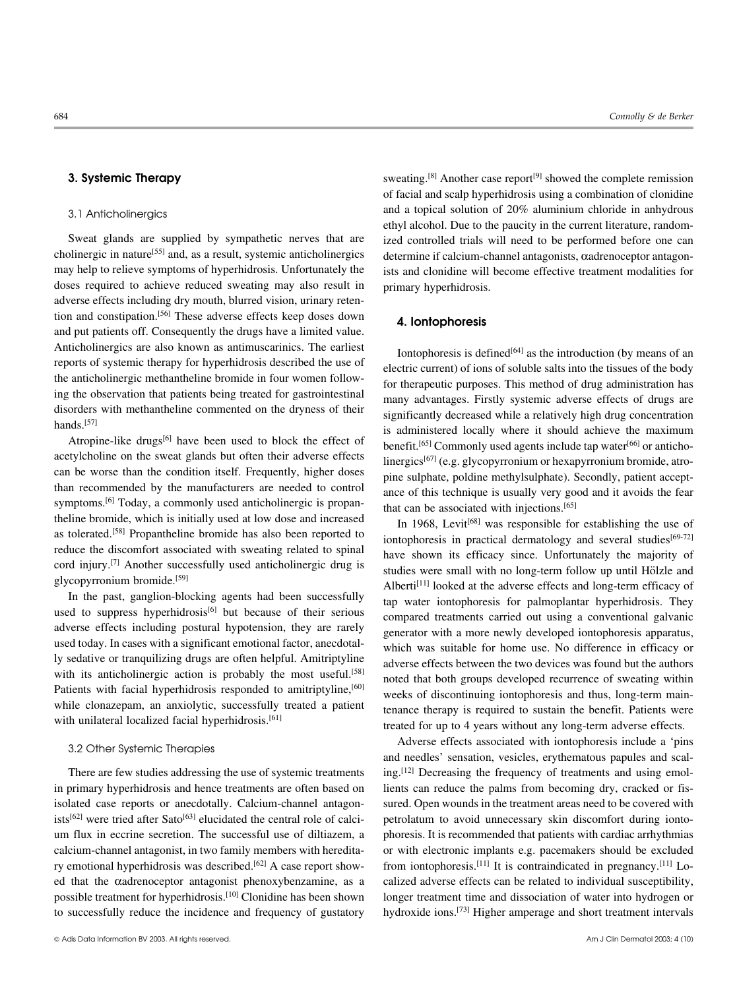cholinergic in nature<sup>[55]</sup> and, as a result, systemic anticholinergics determine if calcium-channel antagonists, αadrenoceptor antagonmay help to relieve symptoms of hyperhidrosis. Unfortunately the ists and clonidine will become effective treatment modalities for doses required to achieve reduced sweating may also result in primary hyperhidrosis. adverse effects including dry mouth, blurred vision, urinary retention and constipation.<sup>[56]</sup> These adverse effects keep doses down **4. Iontophoresis** and put patients off. Consequently the drugs have a limited value. Anticholinergics are also known as antimuscarinics. The earliest<br>reports of systemic therapy for hyperhidrosis described the use of<br>the anticholinergic methantheline bromide in four women follow-<br>ing the observation that p

actylcholine on the sweat glands but often their adverse effects<br>can be worse than the condition itself. Frequently, higher doses<br>than recommended by the manufacturers are needed to control ance of this technique is usuall symptoms.<sup>[6]</sup> Today, a commonly used anticholinergic is propan-<br>that can be associated with injections.<sup>[65]</sup><br>In 1068, Lavit<sup>[68]</sup> was reapposible for the bromate, which is initially used at low dose and increased<br>as tolerated.<sup>[58]</sup> Propantheline bromide has also been reported to<br>reduce the discomfort associated with sweating related to spinal

with its anticholinergic action is probably the most useful.<sup>[58]</sup>

**3. Systemic Therapy** sweating.<sup>[8]</sup> Another case report<sup>[9]</sup> showed the complete remission of facial and scalp hyperhidrosis using a combination of clonidine and a topical solution of 20% aluminium chloride in anhydrous 3.1 Anticholinergics ethyl alcohol. Due to the paucity in the current literature, random-Sweat glands are supplied by sympathetic nerves that are ized controlled trials will need to be performed before one can

hands.<sup>[57]</sup><br>Atropine-like drugs<sup>[6]</sup> have been used to block the effect of<br>acetylcholine on the sweat glands but often their adverse effects<br>acetylcholine on the sweat glands but often their adverse effects<br>inarcial<sup>67]</sup>

reduce the discomfort associated with sweating related to spinal<br>cord injury.<sup>[7]</sup> Another successfully used anticholinergic drug is<br>glycopyrronium bromide.<sup>[59]</sup><br>Alberti<sup>[11]</sup> looked at the adverse effects and long-term e Entiped to suppress hyperhidrosis<sup>[6]</sup> but because of their serious<br>adverse effects and long-term efficacy of<br>absent to suppress hyperhidrosis<sup>[6]</sup> but because of their serious<br>adverse effects including postural hypotensio with its anticholinergic action is probably the most useful.<sup>[60]</sup> noted that both groups developed recurrence of sweating within Patients with facial hyperhidrosis responded to amitriptyline,<sup>[60]</sup> weeks of discontinuing while clonazepam, an anxiolytic, successfully treated a patient<br>with unilateral localized facial hyperhidrosis.<sup>[61]</sup><br>tends of the term is a very without any long term educate offects. treated for up to 4 years without any long-term adverse effects.

Adverse effects associated with iontophoresis include a 'pins 3.2 Other Systemic Therapies and needles' sensation, vesicles, erythematous papules and scal-There are few studies addressing the use of systemic treatments ing.<sup>[12]</sup> Decreasing the frequency of treatments and using emolin primary hyperhidrosis and hence treatments are often based on lients can reduce the palms from becoming dry, cracked or fisisolated case reports or anecdotally. Calcium-channel antagon- sured. Open wounds in the treatment areas need to be covered with ists<sup>[62]</sup> were tried after Sato<sup>[63]</sup> elucidated the central role of calci-<br>petrolatum to avoid unnecessary skin discomfort during iontoum flux in eccrine secretion. The successful use of diltiazem, a phoresis. It is recommended that patients with cardiac arrhythmias calcium-channel antagonist, in two family members with heredita- or with electronic implants e.g. pacemakers should be excluded ry emotional hyperhidrosis was described.<sup>[62]</sup> A case report show- from iontophoresis.<sup>[11]</sup> It is contraindicated in pregnancy.<sup>[11]</sup> Loed that the αadrenoceptor antagonist phenoxybenzamine, as a calized adverse effects can be related to individual susceptibility, possible treatment for hyperhidrosis.[10] Clonidine has been shown longer treatment time and dissociation of water into hydrogen or to successfully reduce the incidence and frequency of gustatory hydroxide ions.<sup>[73]</sup> Higher amperage and short treatment intervals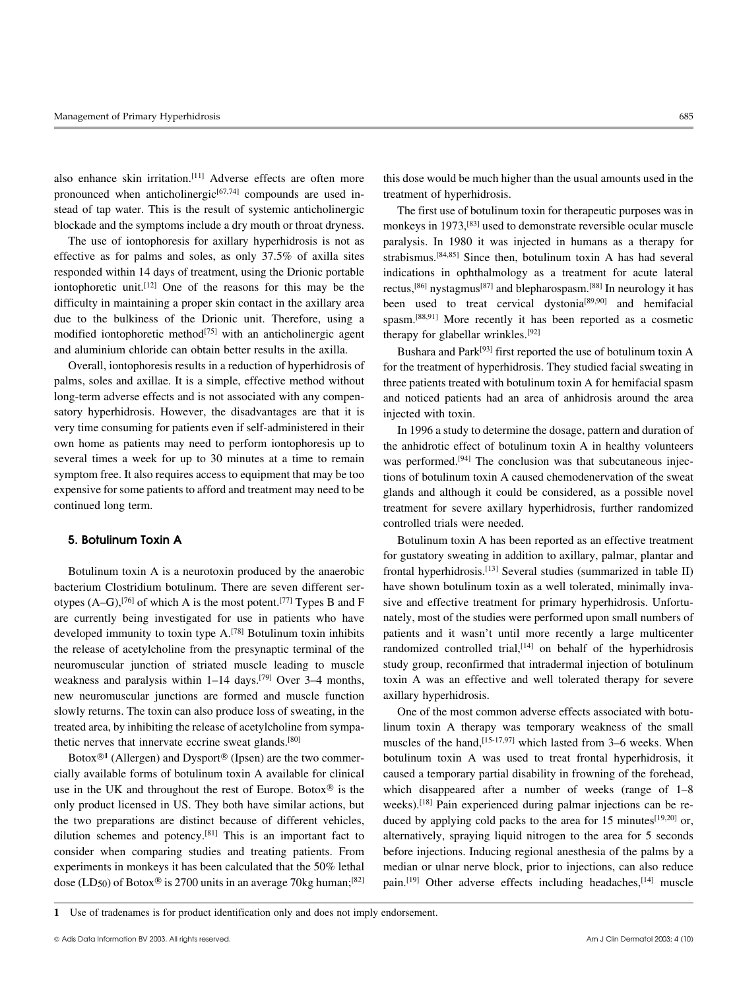also enhance skin irritation.<sup>[11]</sup> Adverse effects are often more this dose would be much higher than the usual amounts used in the pronounced when anticholinergic $[67,74]$  compounds are used in-<br>treatment of hyperhidrosis. stead of tap water. This is the result of systemic anticholinergic The first use of botulinum toxin for therapeutic purposes was in

effective as for palms and soles, as only 37.5% of axilla sites strabismus.[84,85] Since then, botulinum toxin A has had several responded within 14 days of treatment, using the Drionic portable indications in ophthalmology as a treatment for acute lateral iontophoretic unit.<sup>[12]</sup> One of the reasons for this may be the rectus,<sup>[86]</sup> nystagmus<sup>[87]</sup> and blepharospasm.<sup>[88]</sup> In neurology it has difficulty in maintaining a proper skin contact in the axillary area been used to treat cervical dystonia<sup>[89,90]</sup> and hemifacial due to the bulkiness of the Drionic unit. Therefore, using a spasm.<sup>[88,91]</sup> More recently it has been reported as a cosmetic modified iontophoretic method<sup>[75]</sup> with an anticholinergic agent therapy for glabellar wrinkles.<sup>[92]</sup> and aluminium chloride can obtain better results in the axilla. Bushara and Park<sup>[93]</sup> first reported the use of botulinum toxin A

satory hyperhidrosis. However, the disadvantages are that it is injected with toxin. very time consuming for patients even if self-administered in their In 1996 a study to determine the dosage, pattern and duration of own home as patients may need to perform iontophoresis up to the anhidrotic effect of botulinum toxin A in healthy volunteers several times a week for up to 30 minutes at a time to remain was performed [94] The conclusion symptom free. It also requires access to equipment that may be too tions of botulinum toxin A caused chemodenervation of the sweat expensive for some patients to afford and treatment may need to be glands and although it could be considered, as a possible novel continued long term. treatment for severe axillary hyperhidrosis, further randomized

bacterium Clostridium botulinum. There are seven different ser- have shown botulinum toxin as a well tolerated, minimally invaotypes  $(A-G)$ , [76] of which A is the most potent.<sup>[77]</sup> Types B and F sive and effective treatment for primary hyperhidrosis. Unfortuare currently being investigated for use in patients who have nately, most of the studies were performed upon small numbers of developed immunity to toxin type A.<sup>[78]</sup> Botulinum toxin inhibits patients and it wasn't until more recently a large multicenter the release of acetylcholine from the presynaptic terminal of the randomized controlled trial, $[14]$  on behalf of the hyperhidrosis neuromuscular junction of striated muscle leading to muscle study group, reconfirmed that intradermal injection of botulinum weakness and paralysis within  $1-14$  days.<sup>[79]</sup> Over 3–4 months, toxin A was an effective and well tolerated therapy for severe new neuromuscular junctions are formed and muscle function axillary hyperhidrosis. slowly returns. The toxin can also produce loss of sweating, in the One of the most common adverse effects associated with botutreated area, by inhibiting the release of acetylcholine from sympa- linum toxin A therapy was temporary weakness of the small thetic nerves that innervate eccrine sweat glands.<sup>[80]</sup> muscles of the hand,<sup>[15-17,97]</sup> which lasted from 3–6 weeks. When

cially available forms of botulinum toxin A available for clinical caused a temporary partial disability in frowning of the forehead, use in the UK and throughout the rest of Europe. Botox<sup>®</sup> is the which disappeared after a number of weeks (range of  $1-8$ only product licensed in US. They both have similar actions, but weeks).[18] Pain experienced during palmar injections can be rethe two preparations are distinct because of different vehicles, duced by applying cold packs to the area for 15 minutes<sup>[19,20]</sup> or, dilution schemes and potency.<sup>[81]</sup> This is an important fact to alternatively, spraying liquid nitrogen to the area for 5 seconds consider when comparing studies and treating patients. From before injections. Inducing regional anesthesia of the palms by a experiments in monkeys it has been calculated that the 50% lethal median or ulnar nerve block, prior to injections, can also reduce dose (LD<sub>50</sub>) of Botox<sup>®</sup> is 2700 units in an average 70kg human;<sup>[82]</sup> pain.<sup>[19]</sup> Other adverse effects including headaches,<sup>[14]</sup> muscle

blockade and the symptoms include a dry mouth or throat dryness. monkeys in 1973,[83] used to demonstrate reversible ocular muscle The use of iontophoresis for axillary hyperhidrosis is not as paralysis. In 1980 it was injected in humans as a therapy for

Overall, iontophoresis results in a reduction of hyperhidrosis of for the treatment of hyperhidrosis. They studied facial sweating in palms, soles and axillae. It is a simple, effective method without three patients treated with botulinum toxin A for hemifacial spasm long-term adverse effects and is not associated with any compen- and noticed patients had an area of anhidrosis around the area

> was performed.<sup>[94]</sup> The conclusion was that subcutaneous injeccontrolled trials were needed.

**5. Botulinum Toxin A** Botulinum toxin A has been reported as an effective treatment for gustatory sweating in addition to axillary, palmar, plantar and Botulinum toxin A is a neurotoxin produced by the anaerobic frontal hyperhidrosis.<sup>[13]</sup> Several studies (summarized in table II)

Botox<sup> $\mathfrak{D}^1$ </sup> (Allergen) and Dysport<sup>®</sup> (Ipsen) are the two commer-<br>botulinum toxin A was used to treat frontal hyperhidrosis, it

**<sup>1</sup>** Use of tradenames is for product identification only and does not imply endorsement.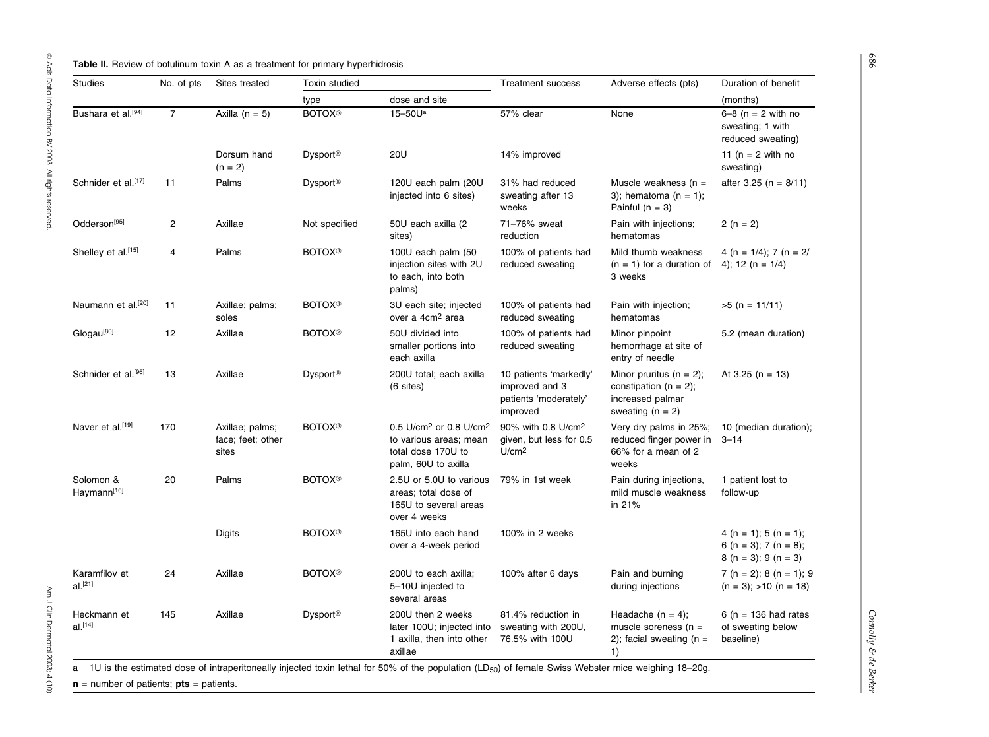| <b>Studies</b>                       | No. of pts     | Sites treated                                 | Toxin studied        |                                                                                                                       | <b>Treatment success</b>                                                       | Adverse effects (pts)                                                                              | Duration of benefit                                                    |  |
|--------------------------------------|----------------|-----------------------------------------------|----------------------|-----------------------------------------------------------------------------------------------------------------------|--------------------------------------------------------------------------------|----------------------------------------------------------------------------------------------------|------------------------------------------------------------------------|--|
|                                      |                |                                               | type                 | dose and site                                                                                                         |                                                                                |                                                                                                    | (months)                                                               |  |
| Bushara et al. <sup>[94]</sup>       | $\overline{7}$ | Axilla ( $n = 5$ )                            | <b>BOTOX®</b>        | $15 - 50U^a$                                                                                                          | 57% clear                                                                      | None                                                                                               | 6–8 ( $n = 2$ with no<br>sweating; 1 with<br>reduced sweating)         |  |
|                                      |                | Dorsum hand<br>$(n = 2)$                      | Dysport <sup>®</sup> | 20U                                                                                                                   | 14% improved                                                                   |                                                                                                    | 11 ( $n = 2$ with no<br>sweating)                                      |  |
| Schnider et al. <sup>[17]</sup>      | 11             | Palms                                         | Dysport <sup>®</sup> | 120U each palm (20U<br>injected into 6 sites)                                                                         | 31% had reduced<br>sweating after 13<br>weeks                                  | Muscle weakness ( $n =$<br>3); hematoma $(n = 1)$ ;<br>Painful $(n = 3)$                           | after 3.25 ( $n = 8/11$ )                                              |  |
| Odderson <sup>[95]</sup>             | $\overline{c}$ | Axillae                                       | Not specified        | 50U each axilla (2<br>sites)                                                                                          | 71-76% sweat<br>reduction                                                      | Pain with injections;<br>hematomas                                                                 | $2(n = 2)$                                                             |  |
| Shelley et al.[15]                   | 4              | Palms                                         | <b>BOTOX®</b>        | 100U each palm (50<br>injection sites with 2U<br>to each, into both<br>palms)                                         | 100% of patients had<br>reduced sweating                                       | Mild thumb weakness<br>$(n = 1)$ for a duration of<br>3 weeks                                      | 4 (n = $1/4$ ); 7 (n = $2/$<br>4); 12 (n = $1/4$ )                     |  |
| Naumann et al. <sup>[20]</sup>       | 11             | Axillae; palms;<br>soles                      | <b>BOTOX®</b>        | 3U each site; injected<br>over a 4cm <sup>2</sup> area                                                                | 100% of patients had<br>reduced sweating                                       | Pain with injection;<br>hematomas                                                                  | $>5$ (n = 11/11)                                                       |  |
| Glogau <sup>[80]</sup>               | 12             | Axillae                                       | <b>BOTOX®</b>        | 50U divided into<br>smaller portions into<br>each axilla                                                              | 100% of patients had<br>reduced sweating                                       | Minor pinpoint<br>hemorrhage at site of<br>entry of needle                                         | 5.2 (mean duration)                                                    |  |
| Schnider et al. <sup>[96]</sup>      | 13             | Axillae                                       | Dysport <sup>®</sup> | 200U total; each axilla<br>$(6 \text{ sites})$                                                                        | 10 patients 'markedly'<br>improved and 3<br>patients 'moderately'<br>improved  | Minor pruritus ( $n = 2$ );<br>constipation ( $n = 2$ );<br>increased palmar<br>sweating $(n = 2)$ | At $3.25$ (n = 13)                                                     |  |
| Naver et al. <sup>[19]</sup>         | 170            | Axillae; palms;<br>face; feet; other<br>sites | <b>BOTOX®</b>        | 0.5 U/cm <sup>2</sup> or 0.8 U/cm <sup>2</sup><br>to various areas; mean<br>total dose 170U to<br>palm, 60U to axilla | 90% with 0.8 U/cm <sup>2</sup><br>given, but less for 0.5<br>U/cm <sup>2</sup> | Very dry palms in 25%;<br>reduced finger power in<br>66% for a mean of 2<br>weeks                  | 10 (median duration);<br>$3 - 14$                                      |  |
| Solomon &<br>Haymann <sup>[16]</sup> | 20             | Palms                                         | <b>BOTOX®</b>        | 2.5U or 5.0U to various<br>areas; total dose of<br>165U to several areas<br>over 4 weeks                              | 79% in 1st week                                                                | Pain during injections,<br>mild muscle weakness<br>in 21%                                          | 1 patient lost to<br>follow-up                                         |  |
|                                      |                | <b>Digits</b>                                 | <b>BOTOX®</b>        | 165U into each hand<br>over a 4-week period                                                                           | 100% in 2 weeks                                                                |                                                                                                    | 4 (n = 1); 5 (n = 1);<br>6 (n = 3); 7 (n = 8);<br>$8(n = 3); 9(n = 3)$ |  |
| Karamfilov et<br>$al.^{[21]}$        | 24             | Axillae                                       | <b>BOTOX®</b>        | 200U to each axilla;<br>5-10U injected to<br>several areas                                                            | 100% after 6 days                                                              | Pain and burning<br>during injections                                                              | 7 (n = 2); 8 (n = 1); 9<br>$(n = 3)$ ; >10 $(n = 18)$                  |  |
| Heckmann et<br>$al.$ <sup>[14]</sup> | 145            | Axillae                                       | Dysport <sup>®</sup> | 200U then 2 weeks<br>later 100U; injected into<br>1 axilla, then into other<br>axillae                                | 81.4% reduction in<br>sweating with 200U,<br>76.5% with 100U                   | Headache ( $n = 4$ );<br>muscle soreness ( $n =$<br>2); facial sweating ( $n =$<br>1)              | 6 ( $n = 136$ had rates<br>of sweating below<br>baseline)              |  |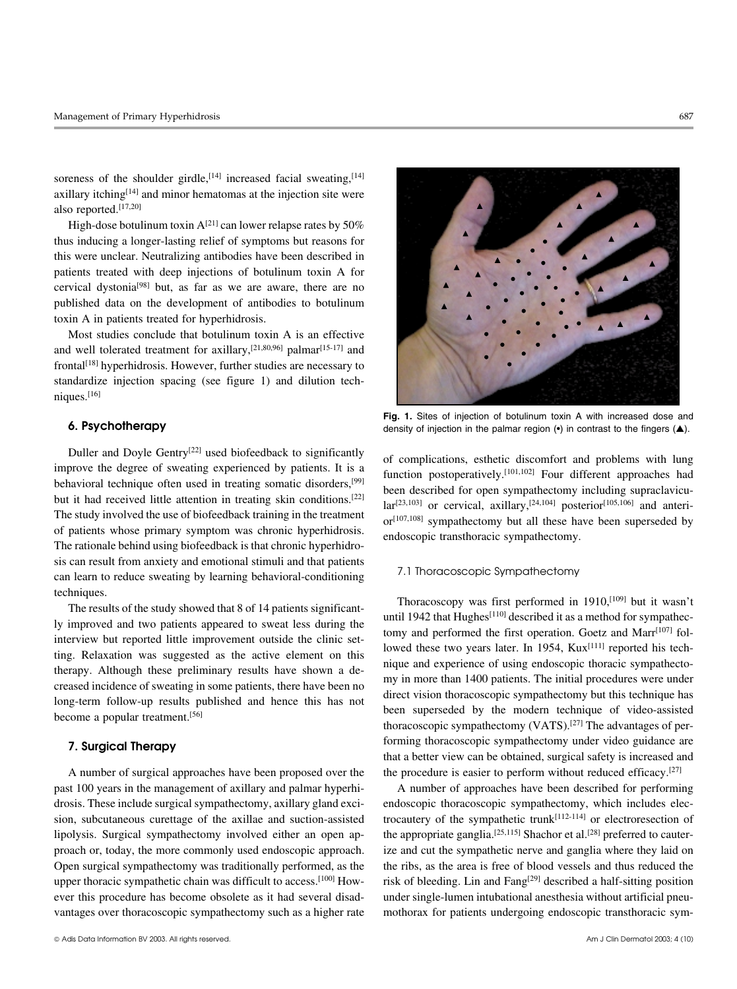soreness of the shoulder girdle,  $[14]$  increased facial sweating,  $[14]$ axillary itching[14] and minor hematomas at the injection site were also reported.[17,20]

High-dose botulinum toxin  $A^{[21]}$  can lower relapse rates by 50% thus inducing a longer-lasting relief of symptoms but reasons for this were unclear. Neutralizing antibodies have been described in patients treated with deep injections of botulinum toxin A for cervical dystonia[98] but, as far as we are aware, there are no published data on the development of antibodies to botulinum toxin A in patients treated for hyperhidrosis.

Most studies conclude that botulinum toxin A is an effective and well tolerated treatment for axillary,<sup>[21,80,96]</sup> palmar<sup>[15-17]</sup> and frontal<sup>[18]</sup> hyperhidrosis. However, further studies are necessary to standardize injection spacing (see figure 1) and dilution techniques.<sup>[16]</sup>

## **6. Psychotherapy**

Duller and Doyle Gentry<sup>[22]</sup> used biofeedback to significantly<br>improve the degree of sweating experienced by patients. It is a<br>behavioral technique often used in treating somatic disorders,<sup>[99]</sup><br>behavioral technique oft but it had received little attention in treating skin conditions.<sup>[22]</sup> The study involved the use of biofeedback training in the treatment<br>of patients whose primary symptom was chronic hyperhidrosis.<br>The rationale behind using biofeedback is that chronic hyperhidro-<br>The rationale behind using sis can result from anxiety and emotional stimuli and that patients can learn to reduce sweating by learning behavioral-conditioning 7.1 Thoracoscopic Sympathectomy

past 100 years in the management of axillary and palmar hyperhi- A number of approaches have been described for performing



**Fig. 1.** Sites of injection of botulinum toxin A with increased dose and density of injection in the palmar region (•) in contrast to the fingers (▲).

lar<sup>[23,103]</sup> or cervical, axillary,<sup>[24,104]</sup> posterior<sup>[105,106]</sup> and anteri-

techniques.<br>
The results of the study showed that 8 of 14 patients significant-<br>
ly improved and two patients appeared to sweat less during the<br>
limitary in 1942 that Hughes<sup>[110]</sup> described it as a method for sympathec-<br> thoracoscopic sympathectomy  $(VATS)$ .<sup>[27]</sup> The advantages of per-**7. Surgical Therapy 1. Surgical Therapy 1. Surgical Therapy that a better view can be obtained**, surgical safety is increased and A number of surgical approaches have been proposed over the the procedure is easier to perform without reduced efficacy.<sup>[27]</sup>

drosis. These include surgical sympathectomy, axillary gland exci- endoscopic thoracoscopic sympathectomy, which includes elecsion, subcutaneous curettage of the axillae and suction-assisted trocautery of the sympathetic trunk<sup>[112-114]</sup> or electroresection of lipolysis. Surgical sympathectomy involved either an open ap-<br>the appropriate ganglia.<sup>[25,115]</sup> Shachor et al.<sup>[28]</sup> preferred to cauterproach or, today, the more commonly used endoscopic approach. ize and cut the sympathetic nerve and ganglia where they laid on Open surgical sympathectomy was traditionally performed, as the the ribs, as the area is free of blood vessels and thus reduced the upper thoracic sympathetic chain was difficult to access.<sup>[100]</sup> How- risk of bleeding. Lin and Fang<sup>[29]</sup> described a half-sitting position ever this procedure has become obsolete as it had several disad- under single-lumen intubational anesthesia without artificial pneuvantages over thoracoscopic sympathectomy such as a higher rate mothorax for patients undergoing endoscopic transthoracic sym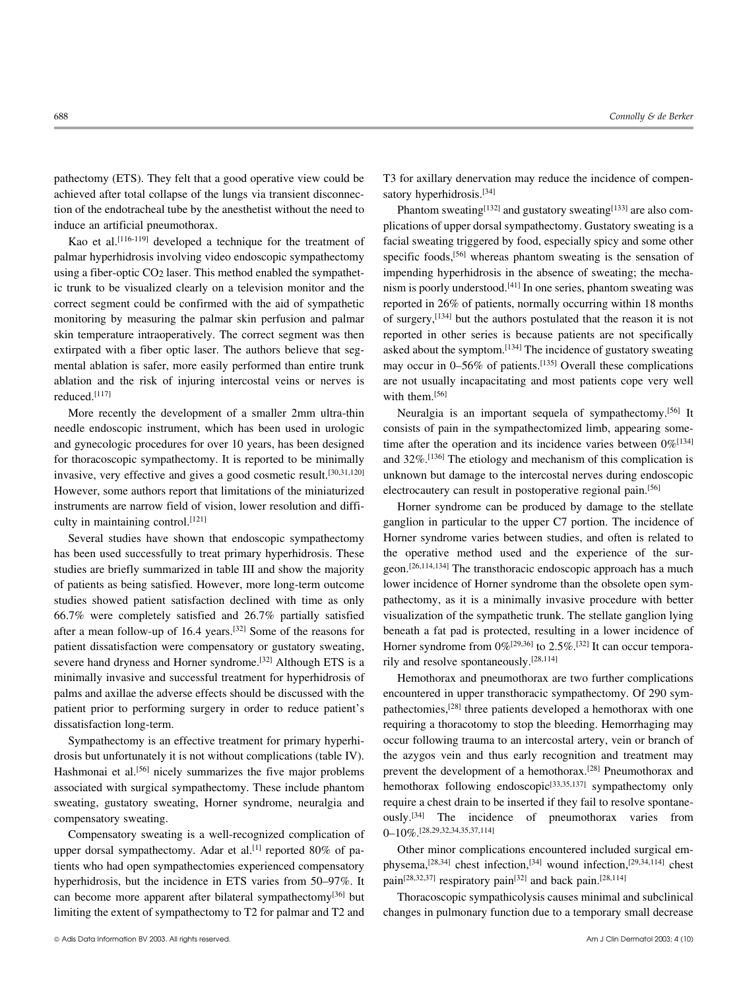achieved after total collapse of the lungs via transient disconnec-<br>satory hyperhidrosis.<sup>[34]</sup> tion of the endotracheal tube by the anesthetist without the need to Phantom sweating<sup>[132]</sup> and gustatory sweating<sup>[133]</sup> are also cominduce an artificial pneumothorax. plications of upper dorsal sympathectomy. Gustatory sweating is a

palmar hyperhidrosis involving video endoscopic sympathectomy specific foods,<sup>[56]</sup> whereas phantom sweating is the sensation of using a fiber-optic CO<sub>2</sub> laser. This method enabled the sympathet- impending hyperhidrosis in the absence of sweating; the mechaic trunk to be visualized clearly on a television monitor and the  $\mu$  nism is poorly understood.<sup>[41]</sup> In one series, phantom sweating was correct segment could be confirmed with the aid of sympathetic reported in 26% of patients, normally occurring within 18 months monitoring by measuring the palmar skin perfusion and palmar of surgery, $[134]$  but the authors postulated that the reason it is not skin temperature intraoperatively. The correct segment was then reported in other series is because patients are not specifically extirpated with a fiber optic laser. The authors believe that seg- asked about the symptom.<sup>[134]</sup> The incidence of gustatory sweating mental ablation is safer, more easily performed than entire trunk may occur in  $0-56\%$  of patients.<sup>[135]</sup> Overall these complications ablation and the risk of injuring intercostal veins or nerves is are not usually incapacitating and most patients cope very well reduced.<sup>[117]</sup> with them.<sup>[56]</sup>

needle endoscopic instrument, which has been used in urologic consists of pain in the sympathectomized limb, appearing someand gynecologic procedures for over 10 years, has been designed time after the operation and its incidence varies between  $0\%$ <sup>[134]</sup> for thoracoscopic sympathectomy. It is reported to be minimally and  $32\%$ .<sup>[136]</sup> The etiology and mechanism of this complication is invasive, very effective and gives a good cosmetic result.  $[30,31,120]$  unknown but damage to the intercostal nerves during endoscopic However, some authors report that limitations of the miniaturized electrocautery can result in postoperative regional pain. [56] instruments are narrow field of vision, lower resolution and diffi- Horner syndrome can be produced by damage to the stellate

severe hand dryness and Horner syndrome.<sup>[32]</sup> Although ETS is a rily and resolve spontaneously.<sup>[28,114]</sup> minimally invasive and successful treatment for hyperhidrosis of Hemothorax and pneumothorax are two further complications

associated with surgical sympathectomy. These include phantom

Compensatory sweating is a well-recognized complication of upper dorsal sympathectomy. Adar et al.<sup>[1]</sup> reported 80% of pa-<br>tients who had open sympathectomies experienced compensatory physema,<sup>[28,34]</sup> chest infection,<sup>[34]</sup> wound infection,<sup>[29,34,114]</sup> chest tients who had open sympathectomies experienced compensatory physema,<sup>[28,34]</sup> chest infection,<sup>[34]</sup> wound infection,<br>hyperhidrosis, but the incidence in ETS varies from 50–97%. It pain<sup>[28,32,37]</sup> respiratory pain<sup>[32]</sup> hyperhidrosis, but the incidence in ETS varies from 50–97%. It can become more apparent after bilateral sympathectomy[36] but Thoracoscopic sympathicolysis causes minimal and subclinical

pathectomy (ETS). They felt that a good operative view could be T3 for axillary denervation may reduce the incidence of compen-

Kao et al.<sup>[116-119]</sup> developed a technique for the treatment of facial sweating triggered by food, especially spicy and some other

More recently the development of a smaller 2mm ultra-thin Neuralgia is an important sequela of sympathectomy.<sup>[56]</sup> It

culty in maintaining control.<sup>[121]</sup> ganglion in particular to the upper C7 portion. The incidence of Several studies have shown that endoscopic sympathectomy Horner syndrome varies between studies, and often is related to has been used successfully to treat primary hyperhidrosis. These the operative method used and the experience of the surstudies are briefly summarized in table III and show the majority geon.<sup>[26,114,134]</sup> The transthoracic endoscopic approach has a much of patients as being satisfied. However, more long-term outcome lower incidence of Horner syndrome than the obsolete open symstudies showed patient satisfaction declined with time as only pathectomy, as it is a minimally invasive procedure with better 66.7% were completely satisfied and 26.7% partially satisfied visualization of the sympathetic trunk. The stellate ganglion lying after a mean follow-up of 16.4 years.<sup>[32]</sup> Some of the reasons for beneath a fat pad is protected, resulting in a lower incidence of patient dissatisfaction were compensatory or gustatory sweating, Horner syndrome from  $0\%^{[29,36]}$  to 2.5%.<sup>[32]</sup> It can occur tempora-

palms and axillae the adverse effects should be discussed with the encountered in upper transthoracic sympathectomy. Of 290 sympatient prior to performing surgery in order to reduce patient's pathectomies,[28] three patients developed a hemothorax with one dissatisfaction long-term. requiring a thoracotomy to stop the bleeding. Hemorrhaging may Sympathectomy is an effective treatment for primary hyperhi- occur following trauma to an intercostal artery, vein or branch of drosis but unfortunately it is not without complications (table IV). the azygos vein and thus early recognition and treatment may Hashmonai et al.<sup>[56]</sup> nicely summarizes the five major problems prevent the development of a hemothorax.<sup>[28]</sup> Pneumothorax and associated with surgical sympathectomy. These include phantom hemothorax following endoscopi sweating, gustatory sweating, Horner syndrome, neuralgia and require a chest drain to be inserted if they fail to resolve spontanecompensatory sweating.<br>
Compensatory sweating is a well-recognized complication of  $0-10\%$  [28,29,32,34,35,37,114]

limiting the extent of sympathectomy to T2 for palmar and T2 and changes in pulmonary function due to a temporary small decrease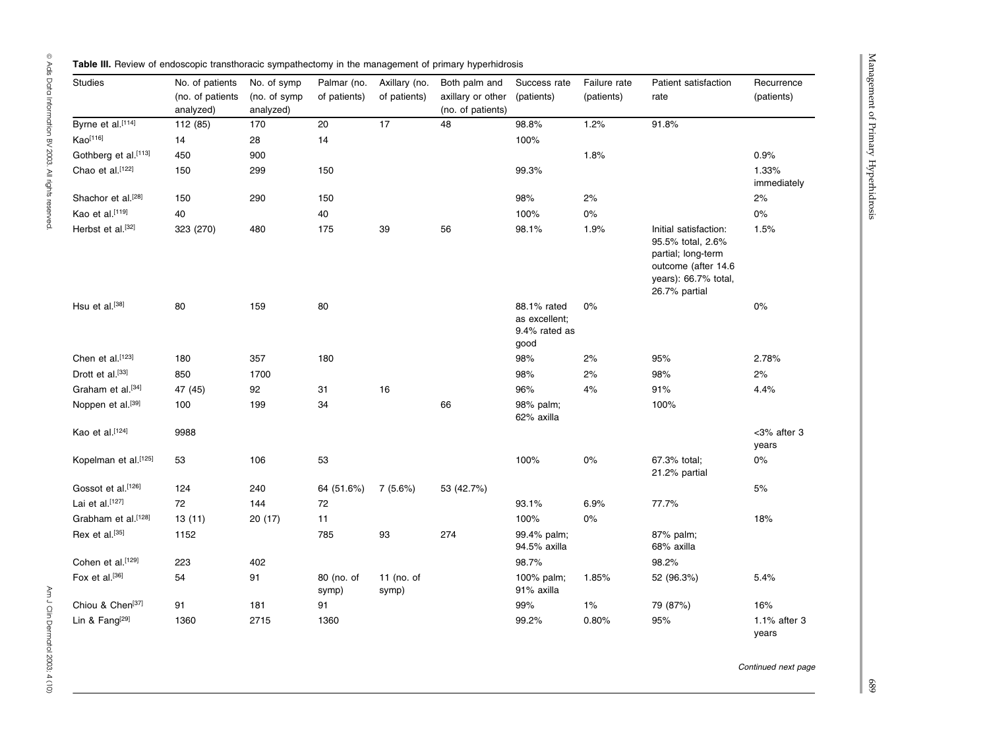| <b>Studies</b>                   | No. of patients  | No              |
|----------------------------------|------------------|-----------------|
|                                  | (no. of patients | (nc             |
|                                  | analyzed)        | an              |
| Byrne et al.[114]                | 112 (85)         | 17 <sub>0</sub> |
| Kao <sup>[116]</sup>             | 14               | 28              |
| Gothberg et al. <sup>[113]</sup> | 450              | 90              |
| Chao et al. <sup>[122]</sup>     | 150              | 29              |
| Shachor et al. <sup>[28]</sup>   | 150              | 29              |
| Kao et al. <sup>[119]</sup>      | 40               |                 |
| Herbst et al. <sup>[32]</sup>    | 323 (270)        | 48              |
|                                  |                  |                 |
| Hsu et al. <sup>[38]</sup>       | 80               | 15 <sub>5</sub> |
| Chen et al.[123]                 | 180              | 35              |
| Drott et al.[33]                 | 850              | 17              |
| Graham et al. <sup>[34]</sup>    | 47 (45)          | 92              |
| Noppen et al. <sup>[39]</sup>    | 100              | 19              |
| $11.2 - 11.1111$                 |                  |                 |

| Studies                         | No. of patients<br>(no. of patients<br>analyzed) | No. of symp<br>(no. of symp<br>analyzed) | Palmar (no.<br>of patients) | Axillary (no.<br>of patients) | Both palm and<br>axillary or other<br>(no. of patients) | Success rate<br>(patients)                            | Failure rate<br>(patients) | Patient satisfaction<br>rate                                                                                                     | Recurrence<br>(patients) |
|---------------------------------|--------------------------------------------------|------------------------------------------|-----------------------------|-------------------------------|---------------------------------------------------------|-------------------------------------------------------|----------------------------|----------------------------------------------------------------------------------------------------------------------------------|--------------------------|
| Byrne et al.[114]               | 112 (85)                                         | 170                                      | 20                          | 17                            | 48                                                      | 98.8%                                                 | 1.2%                       | 91.8%                                                                                                                            |                          |
| Kao <sup>[116]</sup>            | 14                                               | 28                                       | 14                          |                               |                                                         | 100%                                                  |                            |                                                                                                                                  |                          |
| Gothberg et al.[113]            | 450                                              | 900                                      |                             |                               |                                                         |                                                       | 1.8%                       |                                                                                                                                  | 0.9%                     |
| Chao et al.[122]                | 150                                              | 299                                      | 150                         |                               |                                                         | 99.3%                                                 |                            |                                                                                                                                  | 1.33%<br>immediately     |
| Shachor et al.[28]              | 150                                              | 290                                      | 150                         |                               |                                                         | 98%                                                   | 2%                         |                                                                                                                                  | 2%                       |
| Kao et al.[119]                 | 40                                               |                                          | 40                          |                               |                                                         | 100%                                                  | $0\%$                      |                                                                                                                                  | $0\%$                    |
| Herbst et al.[32]               | 323 (270)                                        | 480                                      | 175                         | 39                            | 56                                                      | 98.1%                                                 | 1.9%                       | Initial satisfaction:<br>95.5% total, 2.6%<br>partial; long-term<br>outcome (after 14.6<br>years): 66.7% total,<br>26.7% partial | 1.5%                     |
| Hsu et al.[38]                  | 80                                               | 159                                      | 80                          |                               |                                                         | 88.1% rated<br>as excellent;<br>9.4% rated as<br>good | $0\%$                      |                                                                                                                                  | $0\%$                    |
| Chen et al.[123]                | 180                                              | 357                                      | 180                         |                               |                                                         | 98%                                                   | 2%                         | 95%                                                                                                                              | 2.78%                    |
| Drott et al.[33]                | 850                                              | 1700                                     |                             |                               |                                                         | 98%                                                   | 2%                         | 98%                                                                                                                              | 2%                       |
| Graham et al.[34]               | 47 (45)                                          | 92                                       | 31                          | 16                            |                                                         | 96%                                                   | 4%                         | 91%                                                                                                                              | 4.4%                     |
| Noppen et al.[39]               | 100                                              | 199                                      | 34                          |                               | 66                                                      | 98% palm;<br>62% axilla                               |                            | 100%                                                                                                                             |                          |
| Kao et al.[124]                 | 9988                                             |                                          |                             |                               |                                                         |                                                       |                            |                                                                                                                                  | <3% after 3<br>years     |
| Kopelman et al.[125]            | 53                                               | 106                                      | 53                          |                               |                                                         | 100%                                                  | $0\%$                      | 67.3% total;<br>21.2% partial                                                                                                    | $0\%$                    |
| Gossot et al. <sup>[126]</sup>  | 124                                              | 240                                      | 64 (51.6%)                  | 7 (5.6%)                      | 53 (42.7%)                                              |                                                       |                            |                                                                                                                                  | $5%$                     |
| Lai et al.[127]                 | 72                                               | 144                                      | 72                          |                               |                                                         | 93.1%                                                 | 6.9%                       | 77.7%                                                                                                                            |                          |
| Grabham et al. <sup>[128]</sup> | 13(11)                                           | 20(17)                                   | 11                          |                               |                                                         | 100%                                                  | $0\%$                      |                                                                                                                                  | 18%                      |
| Rex et al.[35]                  | 1152                                             |                                          | 785                         | 93                            | 274                                                     | 99.4% palm;<br>94.5% axilla                           |                            | 87% palm;<br>68% axilla                                                                                                          |                          |
| Cohen et al.[129]               | 223                                              | 402                                      |                             |                               |                                                         | 98.7%                                                 |                            | 98.2%                                                                                                                            |                          |
| Fox et al.[36]                  | 54                                               | 91                                       | 80 (no. of<br>symp)         | 11 (no. of<br>symp)           |                                                         | 100% palm;<br>91% axilla                              | 1.85%                      | 52 (96.3%)                                                                                                                       | 5.4%                     |
| Chiou & Chen <sup>[37]</sup>    | 91                                               | 181                                      | 91                          |                               |                                                         | 99%                                                   | $1\%$                      | 79 (87%)                                                                                                                         | 16%                      |
| Lin & Fang <sup>[29]</sup>      | 1360                                             | 2715                                     | 1360                        |                               |                                                         | 99.2%                                                 | 0.80%                      | 95%                                                                                                                              | 1.1% after 3<br>years    |
|                                 |                                                  |                                          |                             |                               |                                                         |                                                       |                            |                                                                                                                                  | Continued next page      |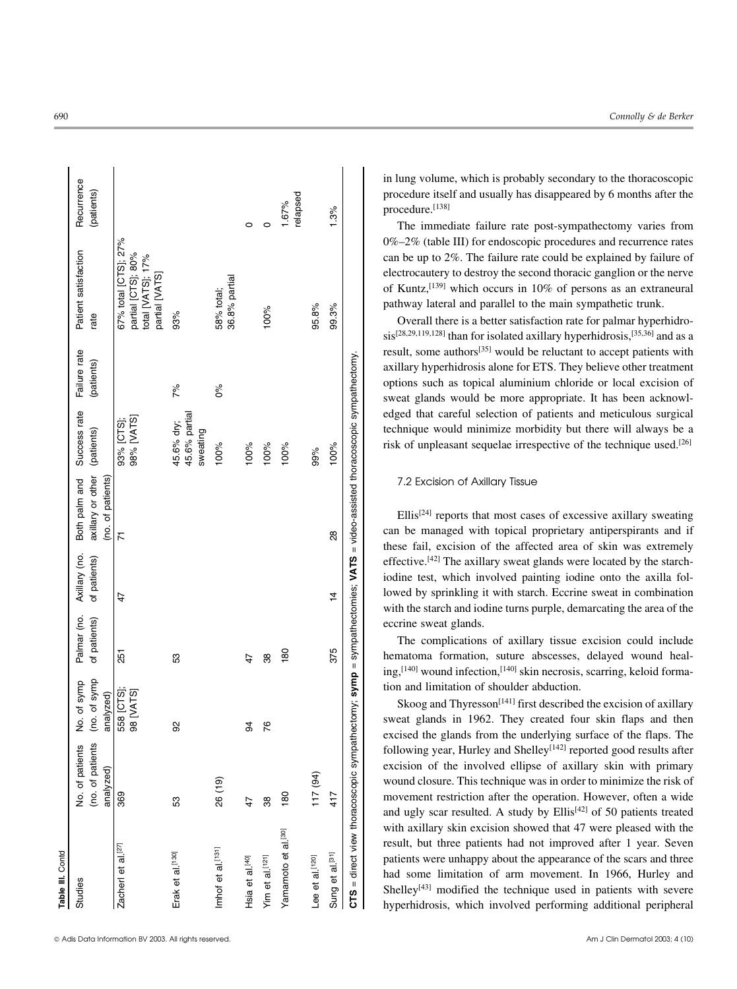| Table III. Contd | Studies                                                 | 369<br>Zacherl et al. $[27]$                                                      | 53<br>Erak et al.[130]                  | Imhof et al.[131]           | $\overline{47}$<br>Hsia et al. <sup>[40]</sup> | 38<br>Yim et al.[121] | 180<br>Yamamoto et al. <sup>[30]</sup> | Lee et al.[120] | 417<br>Sung et al.[31] | movement restriction after the operation. However, often a wide<br>and ugly scar resulted. A study by Ellis <sup>[42]</sup> of 50 patients treated<br>with axillary skin excision showed that 47 were pleased with the<br>result, but three patients had not improved after 1 year. Seven<br>patients were unhappy about the appearance of the scars and three<br>had some limitation of arm movement. In 1966, Hurley and<br>Shelley <sup>[43]</sup> modified the technique used in patients with severe<br>hyperhidrosis, which involved performing additional peripheral |
|------------------|---------------------------------------------------------|-----------------------------------------------------------------------------------|-----------------------------------------|-----------------------------|------------------------------------------------|-----------------------|----------------------------------------|-----------------|------------------------|-----------------------------------------------------------------------------------------------------------------------------------------------------------------------------------------------------------------------------------------------------------------------------------------------------------------------------------------------------------------------------------------------------------------------------------------------------------------------------------------------------------------------------------------------------------------------------|
|                  | (no. of patients<br>No. of patients<br>analyzed)        |                                                                                   |                                         | 26 (19)                     |                                                |                       |                                        | 117 (94)        |                        | following year, Hurley and Shelley <sup>[142]</sup> reported good results after<br>excision of the involved ellipse of axillary skin with primary<br>wound closure. This technique was in order to minimize the risk of                                                                                                                                                                                                                                                                                                                                                     |
|                  | (no. of symp<br>No. of symp                             | analyzed)<br>558 [CTS];<br>98 [VATS]                                              | 92                                      |                             | 3                                              | 76                    |                                        |                 |                        | tion and limitation of shoulder abduction.<br>Skoog and Thyresson <sup>[141]</sup> first described the excision of axillary<br>sweat glands in 1962. They created four skin flaps and then<br>excised the glands from the underlying surface of the flaps. The                                                                                                                                                                                                                                                                                                              |
|                  | Palmar (no.<br>of patients)                             | 251                                                                               | 53                                      |                             | $\ddot{4}$                                     | 38                    | 180                                    |                 | 375                    | with the starch and iodine turns purple, demarcating the area of the<br>eccrine sweat glands.<br>The complications of axillary tissue excision could include<br>hematoma formation, suture abscesses, delayed wound heal-<br>ing, [140] wound infection, [140] skin necrosis, scarring, keloid forma-                                                                                                                                                                                                                                                                       |
|                  | Axillary (no.<br>of patients)                           | 47                                                                                |                                         |                             |                                                |                       |                                        |                 | $\frac{1}{4}$          | effective. <sup>[42]</sup> The axillary sweat glands were located by the starch-<br>iodine test, which involved painting iodine onto the axilla fol-<br>lowed by sprinkling it with starch. Eccrine sweat in combination                                                                                                                                                                                                                                                                                                                                                    |
|                  | axillary or other<br>(no. of patients)<br>Both palm and | $\overline{K}$                                                                    |                                         |                             |                                                |                       |                                        |                 | $\frac{8}{2}$          | 7.2 Excision of Axillary Tissue<br>$Ellis[24]$ reports that most cases of excessive axillary sweating<br>can be managed with topical proprietary antiperspirants and if<br>these fail, excision of the affected area of skin was extremely                                                                                                                                                                                                                                                                                                                                  |
|                  | Success rate<br>(patients)                              | 93% [CTS];<br>98% [VATS]                                                          | 45.6% partial<br>45.6% dry;<br>sweating | 100%                        | 100%                                           | 100%                  | 100%                                   | 99%             | 100%                   | edged that careful selection of patients and meticulous surgical<br>technique would minimize morbidity but there will always be a<br>risk of unpleasant sequelae irrespective of the technique used. <sup>[26]</sup>                                                                                                                                                                                                                                                                                                                                                        |
|                  | Failure rate<br>(patients)                              |                                                                                   | $7\%$                                   | $\delta_{\infty}^{\circ}$   |                                                |                       |                                        |                 |                        | result, some authors <sup>[35]</sup> would be reluctant to accept patients with<br>axillary hyperhidrosis alone for ETS. They believe other treatment<br>options such as topical aluminium chloride or local excision of<br>sweat glands would be more appropriate. It has been acknowl-                                                                                                                                                                                                                                                                                    |
|                  | Patient satisfaction<br>rate                            | 67% total [CTS]; 27%<br>partial [CTS]; 80%<br>total [VATS]; 17%<br>partial [VATS] | 93%                                     | 36.8% partial<br>58% total; |                                                | 100%                  |                                        | 95.8%           | 99.3%                  | 0%-2% (table III) for endoscopic procedures and recurrence rates<br>can be up to 2%. The failure rate could be explained by failure of<br>electrocautery to destroy the second thoracic ganglion or the nerve<br>of Kuntz, [139] which occurs in 10% of persons as an extraneural<br>pathway lateral and parallel to the main sympathetic trunk.<br>Overall there is a better satisfaction rate for palmar hyperhidro-<br>sis <sup>[28,29,119,128]</sup> than for isolated axillary hyperhidrosis, <sup>[35,36]</sup> and as a                                              |
|                  | Recurrence<br>(patients)                                |                                                                                   |                                         |                             | $\circ$                                        | $\circ$               | relapsed<br>1.67%                      |                 | 1.3%                   | in lung volume, which is probably secondary to the thoracoscopic<br>procedure itself and usually has disappeared by 6 months after the<br>procedure.[138]<br>The immediate failure rate post-sympathectomy varies from                                                                                                                                                                                                                                                                                                                                                      |

## 7.2 Excision of Axillary Tissue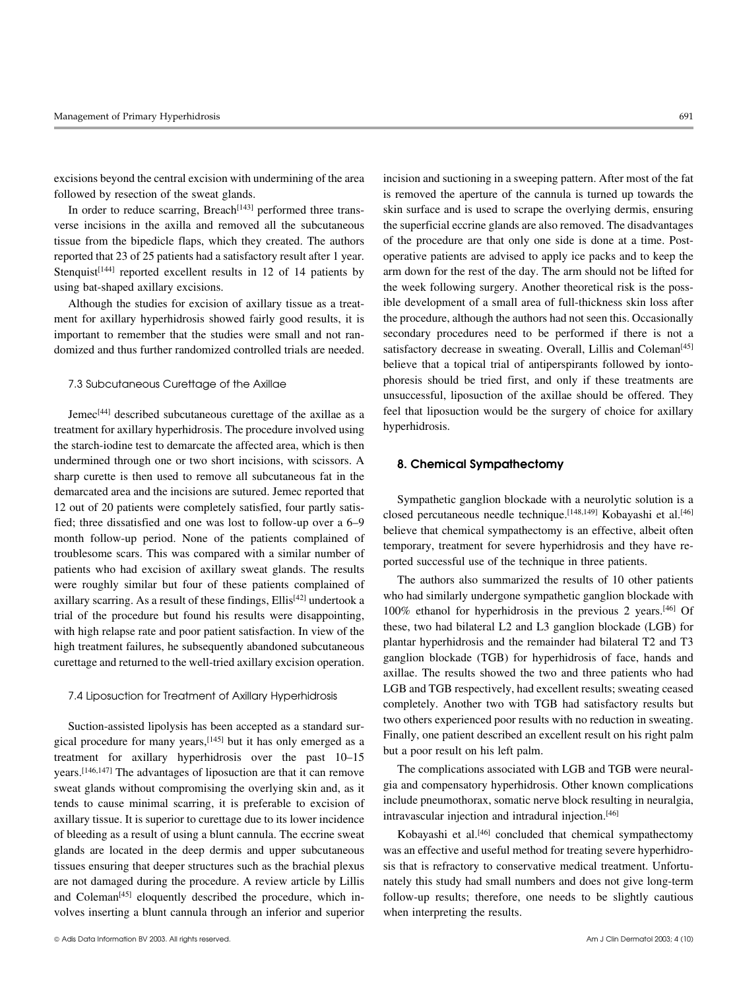excisions beyond the central excision with undermining of the area incision and suctioning in a sweeping pattern. After most of the fat followed by resection of the sweat glands. is removed the aperture of the cannula is turned up towards the

verse incisions in the axilla and removed all the subcutaneous the superficial eccrine glands are also removed. The disadvantages tissue from the bipedicle flaps, which they created. The authors of the procedure are that only one side is done at a time. Postreported that 23 of 25 patients had a satisfactory result after 1 year. operative patients are advised to apply ice packs and to keep the Stenquist<sup>[144]</sup> reported excellent results in 12 of 14 patients by arm down for the rest of the day. The arm should not be lifted for using bat-shaped axillary excisions. the week following surgery. Another theoretical risk is the poss-

treatment for axillary hyperhidrosis. The procedure involved using the starch-iodine test to demarcate the affected area, which is then undermined through one or two short incisions, with scissors. A **8. Chemical Sympathectomy** sharp curette is then used to remove all subcutaneous fat in the demarcated area and the incisions are sutured. Jemec reported that<br>12 out of 20 patients were completely satisfied, four partly satis-<br>fied; three dissatisfied and one was lost to follow-up over a 6–9 month follow-up period. None of the patients complained of<br>troublesome scars. This was compared with a similar number of<br>patients who had excision of axillary sweat glands. The results<br>was compared with a similar number of were roughly similar but four of these patients complained of the authors also summarized the results of 10 other patients and integration of these findings. Filis<sup>[42]</sup> undertook a who had similarly undergone sympathetic axillary scarring. As a result of these findings, Ellis<sup>[42]</sup> undertook a who had similarly undergone sympathetic ganglion blockade with a trial of the precedure but found bis results were disconscipting.  $100\%$  ethanol trial of the procedure but found his results were disappointing,<br>with high relation results and poor patient satisfaction. In view of the three, two had bilateral L2 and L3 ganglion blockade (LGB) for with high relapse rate and poor patient satisfaction. In view of the these, two had bilateral L2 and L3 ganglion blockade (LGB) for plantar hyperhidrosis and the remainder had bilateral T2 and T3 high treatment failures, he subsequently abandoned subcutaneous plantar hyperhidrosis and the remainder had bilateral T2 and T3 high treatment failures, he subsequently abandoned subcutaneous ganglion blockade (TGB) for hy curettage and returned to the well-tried axillary excision operation.

Suction-assisted lipolysis has been accepted as a standard sur-<br>gical procedure for many years,<sup>[145]</sup> but it has only emerged as a<br>treatment for axillary hyperhidrosis over the past 10–15 but a poor result on his left pal years.<sup>[146,147]</sup> The advantages of liposuction are that it can remove<br>sweat glands without compromising the overlying skin and as it gia and compensatory hyperhidrosis. Other known complications sweat glands without compromising the overlying skin and, as it gia and compensatory hyperhidrosis. Other known complications tends to cause minimal scarring it is preferable to excision of include pneumothorax, somatic ne tends to cause minimal scarring, it is preferable to excision of include pneumothorax, somatic nerve block resulting in a syllary tissue. It is superior to curettage due to its lower incidence intravascular injection and i axillary tissue. It is superior to curettage due to its lower incidence of bleeding as a result of using a blunt cannula. The eccrine sweat Kobayashi et al.<sup>[46]</sup> concluded that chemical sympathectomy glands are located in the deep dermis and upper subcutaneous was an effective and useful method for treating severe hyperhidrotissues ensuring that deeper structures such as the brachial plexus sis that is refractory to conservative medical treatment. Unfortuare not damaged during the procedure. A review article by Lillis nately this study had small numbers and does not give long-term and Coleman<sup>[45]</sup> eloquently described the procedure, which in-<br>follow-up results; therefore, one needs to be slightly cautious volves inserting a blunt cannula through an inferior and superior when interpreting the results.

In order to reduce scarring, Breach<sup>[143]</sup> performed three trans-<br>skin surface and is used to scrape the overlying dermis, ensuring Although the studies for excision of axillary tissue as a treat- ible development of a small area of full-thickness skin loss after ment for axillary hyperhidrosis showed fairly good results, it is the procedure, although the authors had not seen this. Occasionally important to remember that the studies were small and not ran- secondary procedures need to be performed if there is not a domized and thus further randomized controlled trials are needed. satisfactory decrease in sweating. Overall, Lillis and Coleman<sup>[45]</sup> believe that a topical trial of antiperspirants followed by iontophoresis should be tried first, and only if these treatments are 7.3 Subcutaneous Curettage of the Axillae unsuccessful, liposuction of the axillae should be offered. They Jemec<sup>[44]</sup> described subcutaneous curettage of the axillae as a feel that liposuction would be the surgery of choice for axillary atment for axillary hyperhidrosis. The procedure involved using hyperhidrosis.

axillae. The results showed the two and three patients who had LGB and TGB respectively, had excellent results; sweating ceased 7.4 Liposuction for Treatment of Axillary Hyperhidrosis completely. Another two with TGB had satisfactory results but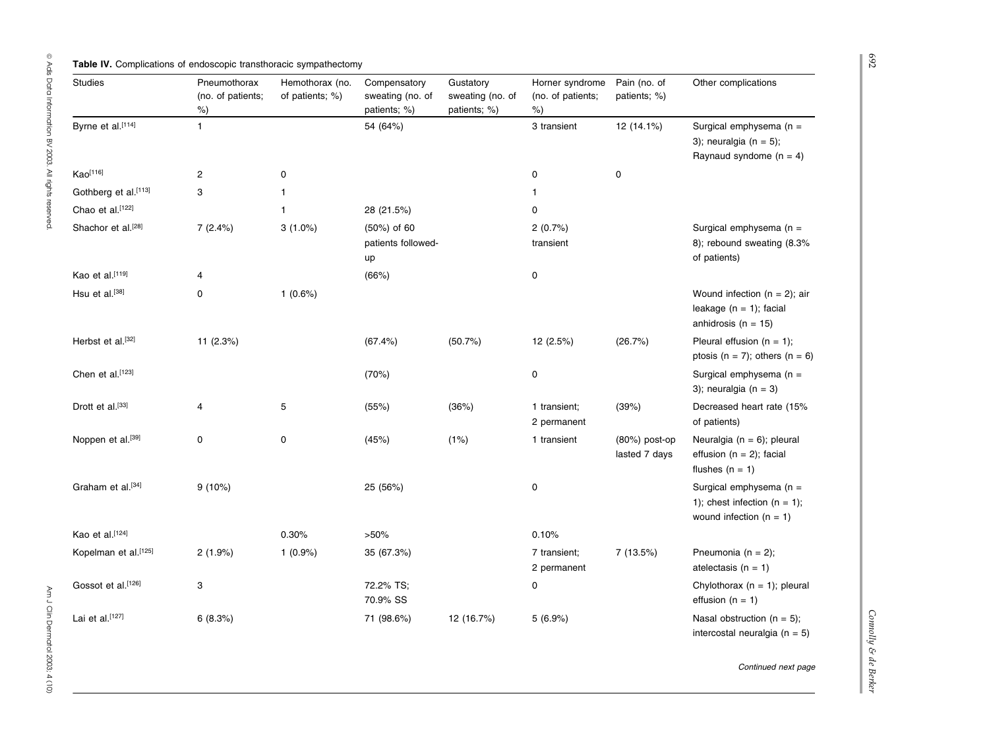| <b>Studies</b>                 | Pneumothorax<br>(no. of patients;<br>% | Hemothorax (no.<br>of patients; %) | Compensatory<br>sweating (no. of<br>patients; %) | Gustatory<br>sweating (no. of<br>patients; %) | Horner syndrome<br>(no. of patients;<br>%) | Pain (no. of<br>patients; %)   | Other complications                                                                         |
|--------------------------------|----------------------------------------|------------------------------------|--------------------------------------------------|-----------------------------------------------|--------------------------------------------|--------------------------------|---------------------------------------------------------------------------------------------|
| Byrne et al. <sup>[114]</sup>  | $\mathbf{1}$                           |                                    | 54 (64%)                                         |                                               | 3 transient                                | 12 (14.1%)                     | Surgical emphysema (n =<br>3); neuralgia ( $n = 5$ );<br>Raynaud syndome $(n = 4)$          |
| Kao <sup>[116]</sup>           | $\overline{c}$                         | 0                                  |                                                  |                                               | 0                                          | $\pmb{0}$                      |                                                                                             |
| Gothberg et al.[113]           | 3                                      |                                    |                                                  |                                               | 1                                          |                                |                                                                                             |
| Chao et al.[122]               |                                        |                                    | 28 (21.5%)                                       |                                               | 0                                          |                                |                                                                                             |
| Shachor et al. <sup>[28]</sup> | 7(2.4%)                                | $3(1.0\%)$                         | (50%) of 60<br>patients followed-<br>up          |                                               | 2(0.7%)<br>transient                       |                                | Surgical emphysema (n =<br>8); rebound sweating (8.3%<br>of patients)                       |
| Kao et al.[119]                | 4                                      |                                    | (66%)                                            |                                               | 0                                          |                                |                                                                                             |
| Hsu et al.[38]                 | 0                                      | $1(0.6\%)$                         |                                                  |                                               |                                            |                                | Wound infection ( $n = 2$ ); air<br>leakage $(n = 1)$ ; facial<br>anhidrosis ( $n = 15$ )   |
| Herbst et al.[32]              | 11 (2.3%)                              |                                    | (67.4%)                                          | (50.7%)                                       | 12 (2.5%)                                  | (26.7%)                        | Pleural effusion ( $n = 1$ );<br>ptosis ( $n = 7$ ); others ( $n = 6$ )                     |
| Chen et al.[123]               |                                        |                                    | (70%)                                            |                                               | 0                                          |                                | Surgical emphysema (n =<br>3); neuralgia ( $n = 3$ )                                        |
| Drott et al.[33]               | 4                                      | 5                                  | (55%)                                            | (36%)                                         | 1 transient;<br>2 permanent                | (39%)                          | Decreased heart rate (15%<br>of patients)                                                   |
| Noppen et al.[39]              | 0                                      | 0                                  | (45%)                                            | (1%)                                          | 1 transient                                | (80%) post-op<br>lasted 7 days | Neuralgia ( $n = 6$ ); pleural<br>effusion ( $n = 2$ ); facial<br>flushes $(n = 1)$         |
| Graham et al.[34]              | $9(10\%)$                              |                                    | 25 (56%)                                         |                                               | 0                                          |                                | Surgical emphysema ( $n =$<br>1); chest infection ( $n = 1$ );<br>wound infection $(n = 1)$ |
| Kao et al.[124]                |                                        | 0.30%                              | $>50\%$                                          |                                               | 0.10%                                      |                                |                                                                                             |
| Kopelman et al.[125]           | $2(1.9\%)$                             | $1(0.9\%)$                         | 35 (67.3%)                                       |                                               | 7 transient;<br>2 permanent                | 7 (13.5%)                      | Pneumonia ( $n = 2$ );<br>atelectasis $(n = 1)$                                             |
| Gossot et al.[126]             | 3                                      |                                    | 72.2% TS;<br>70.9% SS                            |                                               | 0                                          |                                | Chylothorax ( $n = 1$ ); pleural<br>effusion $(n = 1)$                                      |
| Lai et al.[127]                | 6(8.3%)                                |                                    | 71 (98.6%)                                       | 12 (16.7%)                                    | 5(6.9%)                                    |                                | Nasal obstruction ( $n = 5$ );<br>intercostal neuralgia ( $n = 5$ )                         |
|                                |                                        |                                    |                                                  |                                               |                                            |                                | Continued next page                                                                         |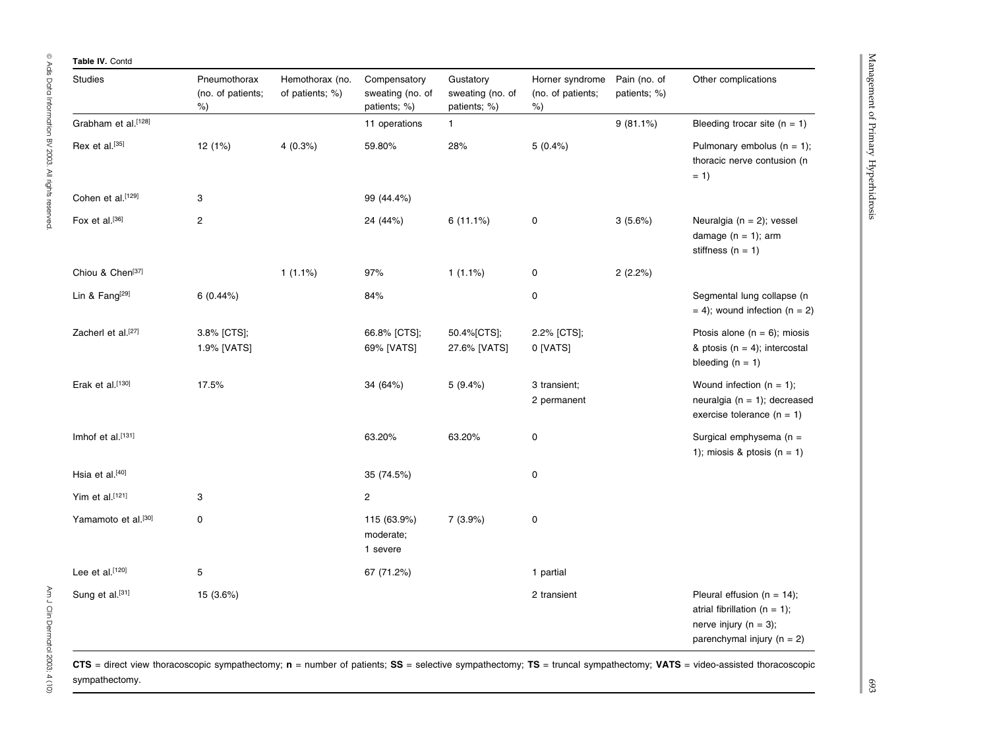| Studies                      | Pneumothorax<br>(no. of patients;<br>%) | Hemothorax (no.<br>of patients; %) | Compensatory<br>sweating (no. of<br>patients; %) | Gustatory<br>sweating (no. of<br>patients; %) | Horner syndrome<br>(no. of patients;<br>%) | Pain (no. of<br>patients; %) | Other complications                                                                                                               |
|------------------------------|-----------------------------------------|------------------------------------|--------------------------------------------------|-----------------------------------------------|--------------------------------------------|------------------------------|-----------------------------------------------------------------------------------------------------------------------------------|
| Grabham et al.[128]          |                                         |                                    | 11 operations                                    | $\mathbf{1}$                                  |                                            | $9(81.1\%)$                  | Bleeding trocar site $(n = 1)$                                                                                                    |
| Rex et al.[35]               | 12 (1%)                                 | 4(0.3%)                            | 59.80%                                           | 28%                                           | $5(0.4\%)$                                 |                              | Pulmonary embolus $(n = 1)$ ;<br>thoracic nerve contusion (n<br>$= 1$                                                             |
| Cohen et al.[129]            | 3                                       |                                    | 99 (44.4%)                                       |                                               |                                            |                              |                                                                                                                                   |
| Fox et al.[36]               | $\overline{\mathbf{c}}$                 |                                    | 24 (44%)                                         | 6(11.1%)                                      | 0                                          | 3(5.6%)                      | Neuralgia ( $n = 2$ ); vessel<br>damage $(n = 1)$ ; arm<br>stiffness $(n = 1)$                                                    |
| Chiou & Chen <sup>[37]</sup> |                                         | $1(1.1\%)$                         | 97%                                              | $1(1.1\%)$                                    | 0                                          | 2(2.2%)                      |                                                                                                                                   |
| Lin & Fang <sup>[29]</sup>   | 6(0.44%)                                |                                    | 84%                                              |                                               | 0                                          |                              | Segmental lung collapse (n<br>$= 4$ ); wound infection (n = 2)                                                                    |
| Zacherl et al.[27]           | 3.8% [CTS];<br>1.9% [VATS]              |                                    | 66.8% [CTS];<br>69% [VATS]                       | 50.4%[CTS];<br>27.6% [VATS]                   | 2.2% [CTS];<br>0 [VATS]                    |                              | Ptosis alone ( $n = 6$ ); miosis<br>& ptosis ( $n = 4$ ); intercostal<br>bleeding $(n = 1)$                                       |
| Erak et al.[130]             | 17.5%                                   |                                    | 34 (64%)                                         | 5(9.4%)                                       | 3 transient;<br>2 permanent                |                              | Wound infection $(n = 1)$ ;<br>neuralgia ( $n = 1$ ); decreased<br>exercise tolerance $(n = 1)$                                   |
| Imhof et al.[131]            |                                         |                                    | 63.20%                                           | 63.20%                                        | 0                                          |                              | Surgical emphysema (n =<br>1); miosis & ptosis $(n = 1)$                                                                          |
| Hsia et al. <sup>[40]</sup>  |                                         |                                    | 35 (74.5%)                                       |                                               | 0                                          |                              |                                                                                                                                   |
| Yim et al.[121]              | 3                                       |                                    | $\mathbf{2}$                                     |                                               |                                            |                              |                                                                                                                                   |
| Yamamoto et al.[30]          | $\mathbf 0$                             |                                    | 115 (63.9%)<br>moderate;<br>1 severe             | 7(3.9%)                                       | 0                                          |                              |                                                                                                                                   |
| Lee et al.[120]              | 5                                       |                                    | 67 (71.2%)                                       |                                               | 1 partial                                  |                              |                                                                                                                                   |
| Sung et al.[31]              | 15 (3.6%)                               |                                    |                                                  |                                               | 2 transient                                |                              | Pleural effusion ( $n = 14$ );<br>atrial fibrillation ( $n = 1$ );<br>nerve injury ( $n = 3$ );<br>parenchymal injury ( $n = 2$ ) |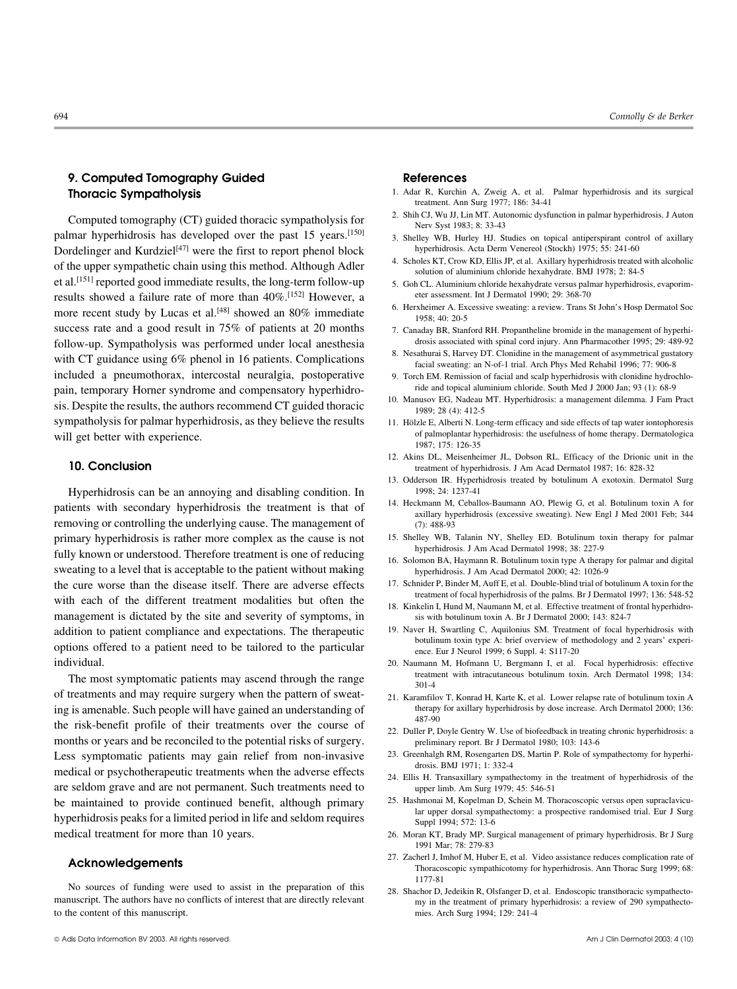# **9. Computed Tomography Guided References**

palmar hyperhidrosis has developed over the past 15 years.<sup>[150]</sup> 3. Shelley WB, Hurley HJ. Studies on topical antiperspirant control of axillary Dordelinger and Kurdziel<sup>[47]</sup> were the first to report phenol block hyperhidrosis. Acta Derm Venereol (Stockh) 1975; 55: 241-60 were the first to report phenol block  $\frac{4}{3}$ . Scholes KT, Crow KD, Ellis JP, et al. Axilla 64. Scholes KT, Crow KD, Ellis JP, et al. Axillary hyperhidrosis treated with alcoholic of the upper sympathetic chain using this method. Although Adler solution of aluminium chloride hexahydrate. BMJ 1978; 2: 84-5 et al.<sup>[151]</sup> reported good immediate results, the long-term follow-up 5. Goh CL. Aluminium chloride hexahydrate versus palmar hyperhidrosis, evaporimresults showed a failure rate of more than 40%.<sup>[152]</sup> However, a eter assessment. Int J Dermatol 1990; 29: 368-70 eter assessment. Int J Dermatol 1990; 29: 368-70 eter assessment. Int J Dermatol 1990; 29: 368-70 eter asse more recent study by Lucas et al.<sup>[48]</sup> showed an 80% immediate <sup>6.</sup> Herxheimer A. Ex success rate and a good result in 75% of patients at 20 months 7. Canaday BR, Stanford RH. Propantheline bromide in the management of hyperhi-<br>
follow-un Sympatholysis was performed under local anesthesia drosis associated with spinal cord injury. Ann Pharmacother 1995; 29: 489-92<br>Hesathurai S, Harvey DT. Clonidine in the management of asymmetrical gustatory<br>
1. Commetrical gustatory<br>
1. Commetrical gustatory with CT guidance using 6% phenol in 16 patients. Complications facial sweating: an N-of-1 trial. Arch Phys Med Rehabil 1996; 77: 906-8 included a pneumothorax, intercostal neuralgia, postoperative 9. Torch EM. Remission of facial and scalp hyperhidrosis with clonidine hydrochlopain, temporary Horner syndrome and compensatory hyperhidro-<br>10. Manusov EG, Nadeau MT. Hyperhidrosis: a management dilemma. J Fam Pract sis. Despite the results, the authors recommend CT guided thoracic  $\frac{10!}{1989; 28 (4): 412-5}$ sympatholysis for palmar hyperhidrosis, as they believe the results 11. Hölzle E, Alberti N. Long-term efficacy and side effects of tap water iontophoresis will get better with experience.  $\blacksquare$ 

Hyperhidrosis can be an annoying and disabling condition. In 1998; 24: 1237-41<br>
Heckmann M, Ceballos-Baumann AO, Plewig G, et al. Botulinum toxin A for<br>
<sup>14</sup>. Heckmann M, Ceballos-Baumann AO, Plewig G, et al. Botulinum tox patients with secondary hyperhidrosis the treatment is that of axillary hyperhidrosis (excessive sweating). New Engl J Med 2001 Feb; 344<br>axillary hyperhidrosis (excessive sweating). New Engl J Med 2001 Feb; 344 removing or controlling the underlying cause. The management of  $(7)$ : 488-93 primary hyperhidrosis is rather more complex as the cause is not<br>
the cause is not hyperhidrosis. J Am Acad Dermatol 1998; 38: 227-9<br>
the cause of palmar hyperhidrosis. J Am Acad Dermatol 1998; 38: 227-9 fully known or understood. Therefore treatment is one of reducing<br>16. Solomon BA, Haymann R. Botulinum toxin type A therapy for palmar and digital sweating to a level that is acceptable to the patient without making hyperhidrosis. J Am Acad Dermatol 2000; 42: 1026-9 the cure worse than the disease itself. There are adverse effects 17. Schnider P, Binder M, Auff E, et al. Double-blind trial of botulinum A toxin for the the cure worse than the disease itself. There are adverse effects t with each of the different treatment modalities but often the<br>18. Kinkelin I, Hund M, Naumann M, et al. Effective treatment of frontal hyperhidromanagement is dictated by the site and severity of symptoms, in sis with botulinum toxin A. Br J Dermatol 2000; 143: 824-7 addition to patient compliance and expectations. The therapeutic and the particular potions offered to a patient need to be tailored to the particular of Naver H, Swartling C, Aquilonius SM. Treatment of focal hyperhidrosi

The most symptomatic patients may ascend through the range  $\frac{\text{treatment}}{301-4}$ <br>of treatments and may require surgery when the pattern of sweating is amenable. Such people will have gained an understanding of therapy for axillary hyperhidrosis by dose increase. Arch Dermatol 2000; 136: the risk-benefit profile of their treatments over the course of  $\frac{487-90}{22}$ . Duller P, Doyle Gentry W. Use of biofeedback in treating chronic hyperhidrosis: a months or years and be reconciled to the potential risks of surgery. preliminary report. Br J Dermatol 1980; 103: 143-6 Less symptomatic patients may gain relief from non-invasive 23. Greenhalgh RM, Rosengarten DS, Martin P. Role of sympathectomy for hyperhi-<br>drosis. BMJ 1971; 1: 332-4 medical or psychotherapeutic treatments when the adverse effects 24. Ellis H. Transaxillary sympathectomy in the treatment of hyperhidrosis of the are seldom grave and are not permanent. Such treatments need to upper limb. Am Surg 1979; 45: 546-51 be maintained to provide continued benefit, although primary<br>hyperhidrosis peaks for a limited period in life and seldom requires<br>hyper dorsal sympathectomy: a prospective randomised trial. Eur J Surg<br>Suppl 1994; 572: 13-6 medical treatment for more than 10 years. 26. Moran KT, Brady MP. Surgical management of primary hyperhidrosis. Br J Surg

No sources of funding were used to assist in the preparation of this 28. Shachor D, Jedeikin R, Olsfanger D, et al. Endoscopic transthoracic sympathectomanuscript. The authors have no conflicts of interest that are directly relevant my in the treatment of primary hyperhidrosis: a review of 290 sympathectoto the content of this manuscript. The content of this manuscript. The content of this manuscript.

- 1. Adar R, Kurchin A, Zweig A, et al. Palmar hyperhidrosis and its surgical **Thoracic Sympatholysis** treatment. Ann Surg 1977; 186: 34-41
- 2. Shih CJ, Wu JJ, Lin MT. Autonomic dysfunction in palmar hyperhidrosis. J Auton Nerv Syst 1983; 8: 33-43<br>Nerv Syst 1983; 8: 33-43
	-
	-
	-
	-
	-
	-
	-
	-
	- 1987; 175: 126-35
- 12. Akins DL, Meisenheimer JL, Dobson RL. Efficacy of the Drionic unit in the **10. Conclusion** treatment of hyperhidrosis. J Am Acad Dermatol 1987; 16: 828-32
	- 13. Odderson IR. Hyperhidrosis treated by botulinum A exotoxin. Dermatol Surg
	-
	-
	-
	-
	-
	-
- individual. 20. Naumann M, Hofmann U, Bergmann I, et al. Focal hyperhidrosis: effective<br>The most symptomatic patients may ascend through the range treatment with intracutaneous botulinum toxin. Arch Dermatol 1998; 134:
	- 21. Karamfilov T, Konrad H, Karte K, et al. Lower relapse rate of botulinum toxin A
	-
	-
	-
	-
	- 1991 Mar; 78: 279-83
	- **27. Zacherl J, Imhof M, Huber E, et al. Video assistance reduces complication rate of Thoracoscopic sympathicotomy for hyperhidrosis. Ann Thorac Surg 1999; 68:** 1177-81
		-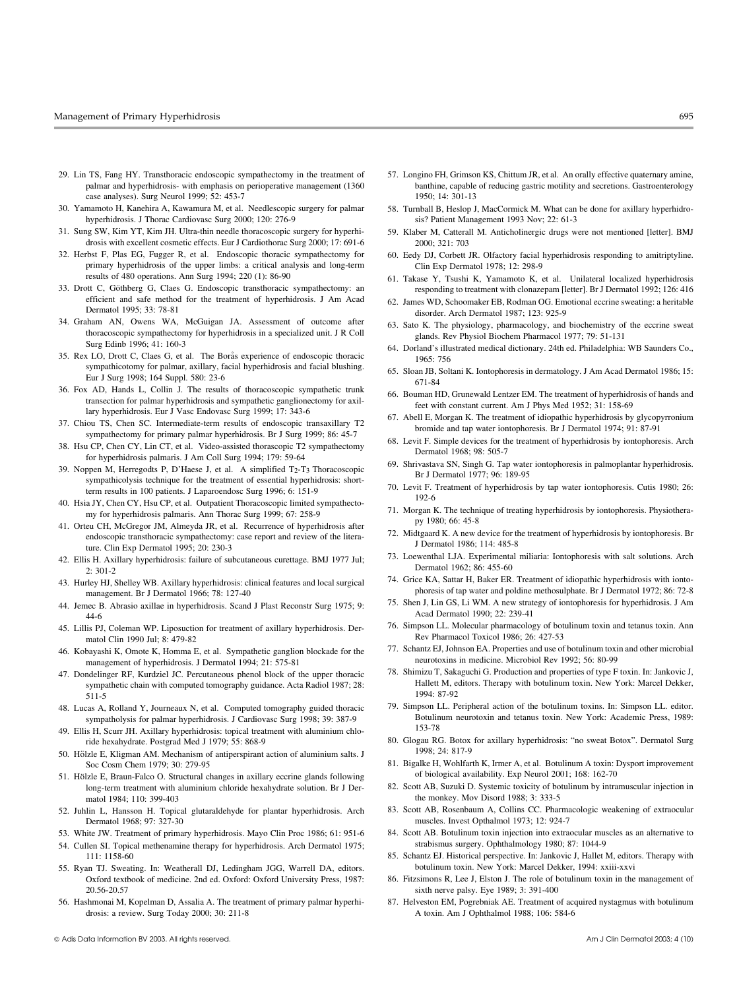- 29. Lin TS, Fang HY. Transthoracic endoscopic sympathectomy in the treatment of 57. Longino FH, Grimson KS, Chittum JR, et al. An orally effective quaternary amine, case analyses). Surg Neurol 1999; 52: 453-7 1950; 14: 301-13
- 30. Yamamoto H, Kanehira A, Kawamura M, et al. Needlescopic surgery for palmar 58. Turnball B, Heslop J, MacCormick M. What can be done for axillary hyperhidrohyperhidrosis. J Thorac Cardiovasc Surg 2000; 120: 276-9 sis? Patient Management 1993 Nov; 22: 61-3
- 31. Sung SW, Kim YT, Kim JH. Ultra-thin needle thoracoscopic surgery for hyperhi- 59. Klaber M, Catterall M. Anticholinergic drugs were not mentioned [letter]. BMJ drosis with excellent cosmetic effects. Eur J Cardiothorac Surg 2000; 17: 691-6 2000; 321: 703
- 32. Herbst F, Plas EG, Fugger R, et al. Endoscopic thoracic sympathectomy for 60. Eedy DJ, Corbett JR. Olfactory facial hyperhidrosis responding to amitriptyline. primary hyperhidrosis of the upper limbs: a critical analysis and long-term Clin Exp Dermatol 1978; 12: 298-9 results of 480 operations. Ann Surg 1994; 220 (1): 86-90 61 Takase Y Tsushi K Yamamoto K 6
- efficient and safe method for the treatment of hyperhidrosis. J Am Acad 62. James WD, Schoomaker EB, Rodman OG. Emotional eccrine sweating: a heritable<br>Dermatol 1995; 33: 78-81 discrete arch Dermatol 1997: 123: 925. 9
- Dermatol 1995; 33: 78-81<br>34. Graham AN, Owens WA, McGuigan JA. Assessment of outcome after 63 Sato K The physiology pharmacology and 34. Graham AN, Owens WA, McGuigan JA. Assessment of outcome after thoracoscopic sympathectomy for hyperhidrosis in a specialized unit. J R Coll<br>
Surg Edinb 1996; 41: 160-3<br>
Surg Edinb 1996; 41: 160-3<br>
Surg Edinb 1996; 41:
- 
- 
- 
- 
- 36. Fox AD, Hands L, Collin J. The results of thoracoscopic sympathetic trunk<br>
transction for pather and sympathic stands sample throm the pather colling three states and sympathetic spaces and sympathetic spaces and sympa
- 
- 
- 13. John LJA. Experimental miliaria: Iontophoresis with salt solutions. Arch 42. Ellis H. Axillary hyperhidrosis: failure of subcutaneous curettage. BMJ 1977 Jul;<br>2: 301-2 2: 301-2 2: 301-2 2: 301-2 2: 301-2 2: 301-2 2: 30
- 43. Hurley HJ, Shelley WB. Axillary hyperhidrosis: clinical features and local surgical management. Br J Dermatol 1966; 78: 127-40<br>nec B Abrasio axillae in hyperhidrosis. J Am becometr Surg 1975: 9: 75. Shen J, Lin GS, Li WM. A new strategy of iontophoresis for hyperhidrosis. J Am
- 44. Jemec B. Abrasio axillae in hyperhidrosis. Scand J Plast Reconstr Surg 1975; 9: Acad Dermatol 1990; 22: 239-41<br>
His PI Coleman WP I inosuction for treatment of axillary hyperhidrosis Der-<br>
To. Simpson LL. Molecular pharmacology of botulinum toxin and tetanus toxin. Ann
- 45. Lillis PJ, Coleman WP. Liposuction for treatment of axillary hyperhidrosis. Dermatol Clin 1990 Jul; 8: 479-82<br>havashi K. Omote K. Homma E. et al. Sympathetic ganglion blockade for the 77. Schantz EJ, Johnson EA. Properties and use of botulinum toxin and other microbial
- 46. Kobayashi K, Omote K, Homma E, et al. Sympathetic ganglion blockade for the 77. Schantz EJ, Johnson EA. Properties and use of botulinum toxin analy members of hyperties and the management of hyperhidrosis. J Dermatol 1 management of hyperhidrosis. J Dermatol 1994; 21: 575-81 neurotoxins in medicine. Microbiol Rev 1992; 56: 80-99<br>Indelinger RF. Kurdziel JC. Percutaneous phenol block of the upper thoracic and Shimizu T, Sakaguchi G. Produc
- sympathetic chain with computed tomography guidance. Acta Radiol 1987; 28: Hallett M, e<br>511.5 1994: 87-92 1994: 87-92 511-5
- sympatholysis for palmar hyperhidrosis. J Cardiovasc Surg 1998; 39: 387-9 Botulin<br>153-78
- 49. Ellis H, Scurr JH. Axillary hyperhidrosis: topical treatment with aluminium chlo-
- 50. Hölzle E, Kligman AM. Mechanism of antiperspirant action of aluminium salts. J
- 51. Hölzle E, Braun-Falco O. Structural changes in axillary eccrine glands following long-term treatment with aluminium chloride hexahydrate solution. Br J Der- 82. Scott AB, Suzuki D. Systemic toxicity of botulinum by intramuscular injection in matol 1984; 110: 399-403<br>Ilin L, Hansson H. Topical glutaraldehyde for plantar hyperhidrosis. Arch 83. Scott AB, Rosenbaum A, Collins CC. Pharmacologic weakening of extraocular
- 52. Juhlin L, Hansson H. Topical glutaraldehyde for plantar hyperhidrosis. Arch Dermatol 1968; 97: 327-30 muscles. Invest Opthalmol 1973; 12: 924-7
- 53. White JW. Treatment of primary hyperhidrosis. Mayo Clin Proc 1986; 61: 951-6 84. Scott AB. Botulinum toxin injection into extraocular muscles as an alternative to
- 54. Cullen SI. Topical methenamine therapy for hyperhidrosis. Arch Dermatol 1975; strabismus surgery. Ophthalmology 1980; 87: 1044-9
- 55. Ryan TJ. Sweating. In: Weatherall DJ, Ledingham JGG, Warrell DA, editors. botulinum toxin. New York: Marcel Dekker, 1994: xxiii-xxvi Oxford textbook of medicine. 2nd ed. Oxford: Oxford University Press, 1987: 86. Fitzsimons R, Lee J, Elston J. The role of botulinum toxin in the management of 20.56-20.57 sixth nerve palsy. Eye 1989; 3: 391-400
- 56. Hashmonai M, Kopelman D, Assalia A. The treatment of primary palmar hyperhi- 87. Helveston EM, Pogrebniak AE. Treatment of acquired nystagmus with botulinum drosis: a review. Surg Today 2000; 30: 211-8 A toxin. Am J Ophthalmol 1988; 106: 584-6
- palmar and hyperhidrosis- with emphasis on perioperative management (1360 banthine, capable of reducing gastric motility and secretions. Gastroenterology
	-
	-
	-
- results of 480 operations. Ann Surg 1994; 220 (1): 86-90 61. Takase Y, Tsushi K, Yamamoto K, et al. Unilateral localized hyperhidrosis<br>33. Drott C, Göthberg G, Claes G. Endoscopic transthoracic sympathectomy: an responding responding to treatment with clonazepam [letter]. Br J Dermatol 1992; 126: 416
	-
	-
	-
- sympathicotomy for palmar, axillary, facial hyperhidrosis and facial blushing. 65. Sloan JB, Soltani K. Iontophoresis in dermatology. J Am Acad Dermatol 1986; 15:<br>
36. Fox AD, Hands L, Collin J. The results of thoracoscopi
	-
	-
	-
	-
	-
	-
	-
	-
	-
	-
	-
	-
- 78. Shimizu T, Sakaguchi G. Production and properties of type F toxin. In: Jankovic J, 47. Dondelinger RF, Kurdziel JC. Percutaneous phenol block of the upper thoracic state and allett M, editors. Therapy with botulinum to
- 48. Lucas A, Rolland Y, Journeaux N, et al. Computed tomography guided thoracic 79. Simpson LL. Peripheral action of the botulinum toxins. In: Simpson LL. editor.<br>
sympatholysis for palmar hyperhidrosis I Cardiovasc Surg 1
	- ride hexahydrate. Postgrad Med J 1979; 55: 868-9 80. Glogau RG. Botox for axillary hyperhidrosis: "no sweat Botox". Dermatol Surg<br>Izle E. Kliemen AM Mechanism of articography to action of cluminium celts. I 1998: 24: 817-9
	- Soc Cosm Chem 1979; 30: 279-95 <br>Soc Cosm Chem 1979; 30: 279-95 81. Bigalke H, Wohlfarth K, Irmer A, et al. Botulinum A toxin: Dysport improvement<br>Izle E. Braun-Falco O. Structural changes in axillary eccrine glands followi
		-
		-
		-
	- 111: 1158-60 85. Schantz EJ. Historical perspective. In: Jankovic J, Hallet M, editors. Therapy with
		-
		-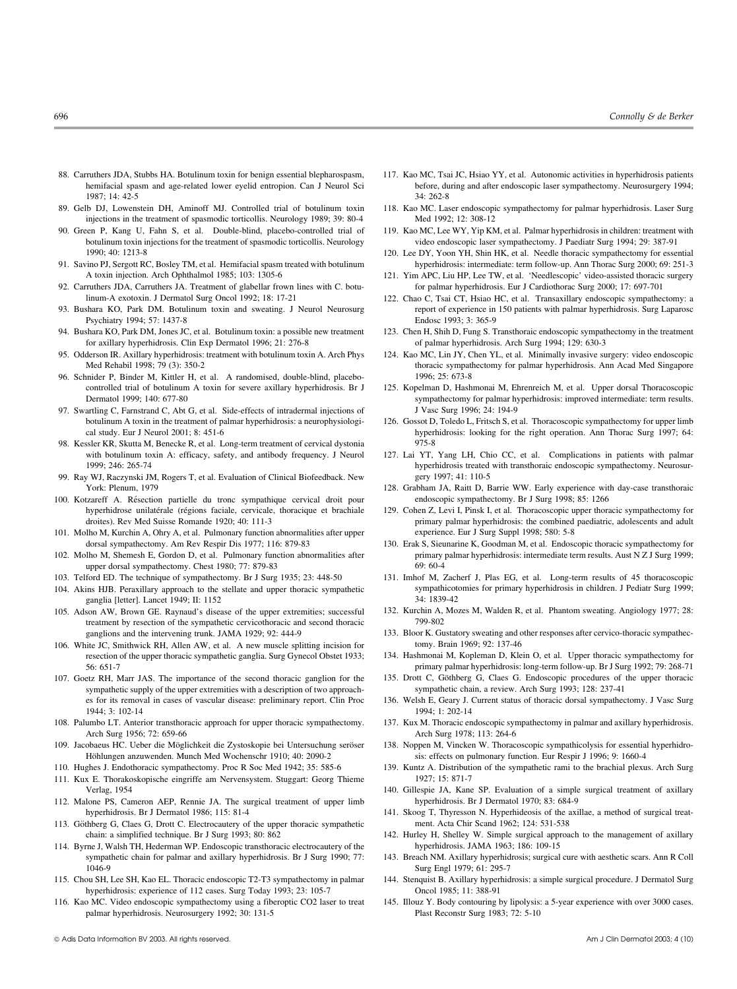- 1987; 14: 42-5 34: 262-8
- injections in the treatment of spasmodic torticollis. Neurology 1989; 39: 80-4 Med 1992; 12: 308-12
- 
- 91. Savino PJ, Sergott RC, Bosley TM, et al. Hemifacial spasm treated with botulinum<br>A toxin injection. Arch Ophthalmol 1985; 103: 1305-6 121. Yim APC, Liu HP, Lee TW, et al. 'Needlescopic' video-assisted thoracic surgery
- 92. Carruthers JDA, Carruthers JA. Treatment of glabellar frown lines with C. botu- for palmar hyperhidrosis. Eur J Cardiothorac Surg 2000; 17: 697-701
- Psychiatry 1994; 57: 1437-8 Endosc 1993; 3: 365-9
- for axillary hyperhidrosis. Clin Exp Dermatol 1996; 21: 276-8 of palmar hyperhidrosis. Arch Surg 1994; 129: 630-3
- 
- 96. Schnider P, Binder M, Kittler H, et al. A randomised, double-blind, placebo- 1996; 25: 673-8 controlled trial of botulinum A toxin for severe axillary hyperhidrosis. Br J 125. Kopelman D, Hashmonai M, Ehrenreich M, et al. Upper dorsal Thoracoscopic
- 97. Swartling C, Farnstrand C, Abt G, et al. Side-effects of intradermal injections of J Vasc Surg 1996; 24: 194-9 botulinum A toxin in the treatment of palmar hyperhidrosis: a neurophysiologi-<br>
126. Gossot D, Toledo L, Fritsch S, et al. Thoracoscopic sympathectomy for upper limb
- 98. Kessler KR, Skutta M, Benecke R, et al. Long-term treatment of cervical dystonia 975-8
- 99. Ray WJ, Raczynski JM, Rogers T, et al. Evaluation of Clinical Biofeedback. New gery 1997; 41: 110-5
- 100. Kotzareff A. Résection partielle du tronc sympathique cervical droit pour endoscopic sympathectomy. Br J Surg 1998; 85: 1266
- 101. Molho M, Kurchin A, Ohry A, et al. Pulmonary function abnormalities after upper experience. Eur J Surg Suppl 1998; 580: 5-8
- upper dorsal sympathectomy. Chest 1980; 77: 879-83 69: 60-4
- 
- 104. Akins HJB. Peraxillary approach to the stellate and upper thoracic sympathetic sympathicotomies for primary hyperhidrosis for primary hyperhidrosis in children. J Pediatr Surge 1999; in children. J Pediatr Surge 1999; ganglia [letter]. Lancet 1949; II: 1152
- treatment by resection of the sympathetic cervicothoracic and second thoracic 799-802
- 106. White JC, Smithwick RH, Allen AW, et al. A new muscle splitting incision for tomy. Brain 1969; 92: 137-46
- sympathetic supply of the upper extremities with a description of two approach-<br>sympathetic chain, a review. Arch Surg 1993; 128: 237-41 es for its removal in cases of vascular disease: preliminary report. Clin Proc 136. Welsh E, Geary J. Current status of thoracic dorsal sympathectomy. J Vasc Surg 1944; 3: 102-14 1994; 1: 202-14
- 108. Palumbo LT. Anterior transthoracic approach for upper thoracic sympathectomy. 137. Kux M. Thoracic endoscopic sympathectomy in palmar and axillary hyperhidrosis. Arch Surg 1956; 72: 659-66 **Arch Surg 1978**; 113: 264-6
- Hohlungen anzuwenden. Munch Med Wochenschr 1910; 40: 2090-2 sis: effects on pulmonary function. Eur Respir J 1996; 9: 1660-4 ¨
- 
- 111. Kux E. Thorakoskopische eingriffe am Nervensystem. Stuggart: Georg Thieme 1927; 15: 871-7
- 112. Malone PS, Cameron AEP, Rennie JA. The surgical treatment of upper limb hyperhidrosis. Br J Dermatol 1970; 83: 684-9 hyperhidrosis. Br J Dermatol 1986; 115: 81-4 141. Skoog T, Thyresson N. Hyperhideosis of the axi
- 113. Gothberg G, Claes G, Drott C. Electrocautery of the upper thoracic sympathetic ¨ ment. Acta Chir Scand 1962; 124: 531-538
- 114. Byrne J, Walsh TH, Hederman WP. Endoscopic transthoracic electrocautery of the hyperhidrosis. JAMA 1963; 186: 109-15 1046-9 Surg Engl 1979; 61: 295-7
- hyperhidrosis: experience of 112 cases. Surg Today 1993; 23: 105-7 Oncol 1985; 11: 388-91
- palmar hyperhidrosis. Neurosurgery 1992; 30: 131-5 Plast Reconstr Surg 1983; 72: 5-10
- 88. Carruthers JDA, Stubbs HA. Botulinum toxin for benign essential blepharospasm, 117. Kao MC, Tsai JC, Hsiao YY, et al. Autonomic activities in hyperhidrosis patients hemifacial spasm and age-related lower eyelid entropion. Can J Neurol Sci before, during and after endoscopic laser sympathectomy. Neurosurgery 1994;
- 89. Gelb DJ, Lowenstein DH, Aminoff MJ. Controlled trial of botulinum toxin 118. Kao MC. Laser endoscopic sympathectomy for palmar hyperhidrosis. Laser Surg
- 90. Green P, Kang U, Fahn S, et al. Double-blind, placebo-controlled trial of 119. Kao MC, Lee WY, Yip KM, et al. Palmar hyperhidrosis in children: treatment with botulinum toxin injections for the treatment of spasmodic torticollis. Neurology video endoscopic laser sympathectomy. J Paediatr Surg 1994; 29: 387-91
	- 1990; 40: 1213-8 120. Lee DY, Yoon YH, Shin HK, et al. Needle thoracic sympathectomy for essential
		- 121. Yim APC, Liu HP, Lee TW, et al. 'Needlescopic' video-assisted thoracic surgery
- linum-A exotoxin. J Dermatol Surg Oncol 1992; 18: 17-21 122. Chao C, Tsai CT, Hsiao HC, et al. Transaxillary endoscopic sympathectomy: a 93. Bushara KO, Park DM. Botulinum toxin and sweating. J Neurol Neurosurg report of experience in 150 patients with palmar hyperhidrosis. Surg Laparosc
- 94. Bushara KO, Park DM, Jones JC, et al. Botulinum toxin: a possible new treatment 123. Chen H, Shih D, Fung S. Transthoraic endoscopic sympathectomy in the treatment
- 95. Odderson IR. Axillary hyperhidrosis: treatment with botulinum toxin A. Arch Phys 124. Kao MC, Lin JY, Chen YL, et al. Minimally invasive surgery: video endoscopic Med Rehabil 1998; 79 (3): 350-2 thoracic sympathectomy for palmar hyperhidrosis. Ann Acad Med Singapore
	- Dermatol 1999; 140: 677-80 sympathectomy for palmar hyperhidrosis: improved intermediate: term results.
	- cal study. Eur J Neurol 2001; 8: 451-6 hyperhidrosis: looking for the right operation. Ann Thorac Surg 1997; 64:
	- with botulinum toxin A: efficacy, safety, and antibody frequency. J Neurol 127. Lai YT, Yang LH, Chio CC, et al. Complications in patients with palmar 1999; 246: 265-74 hyperhidrosis treated with transthoraic endoscopic sympathectomy. Neurosur-
	- York: Plenum, 1979 128. Grabham JA, Raitt D, Barrie WW. Early experience with day-case transthoraic
	- hyperhidrose unilatérale (régions faciale, cervicale, thoracique et brachiale 129. Cohen Z, Levi I, Pinsk I, et al. Thoracoscopic upper thoracic sympathectomy for droites). Rev Med Suisse Romande 1920; 40: 111-3 primary palmar hyperhidrosis: the combined paediatric, adolescents and adult
- dorsal sympathectomy. Am Rev Respir Dis 1977; 116: 879-83 130. Erak S, Sieunarine K, Goodman M, et al. Endoscopic thoracic sympathectomy for 102. Molho M, Shemesh E, Gordon D, et al. Pulmonary function abnormalities after primary palmar hyperhidrosis: intermediate term results. Aust N Z J Surg 1999;
- 103. Telford ED. The technique of sympathectomy. Br J Surg 1935; 23: 448-50 131. Imhof M, Zacherf J, Plas EG, et al. Long-term results of 45 thoracoscopic 104. Akins HJB. Peraxillary approach to the stellate and upper thor
- 105. Adson AW, Brown GE. Raynaud's disease of the upper extremities; successful 132. Kurchin A, Mozes M, Walden R, et al. Phantom sweating. Angiology 1977; 28:
	- ganglions and the intervening trunk. JAMA 1929; 92: 444-9 133. Bloor K. Gustatory sweating and other responses after cervico-thoracic sympathec-
	- resection of the upper thoracic sympathetic ganglia. Surg Gynecol Obstet 1933; 134. Hashmonai M, Kopleman D, Klein O, et al. Upper thoracic sympathectomy for 56: 651-7 primary palmar hyperhidrosis: long-term follow-up. Br J Surg 1992; 79: 268-71
- 107. Goetz RH, Marr JAS. The importance of the second thoracic ganglion for the 135. Drott C, Göthberg G, Claes G. Endoscopic procedures of the upper thoracic
	-
	-
- 109. Jacobaeus HC. Ueber die Möglichkeit die Zystoskopie bei Untersuchung seröser 138. Noppen M, Vincken W. Thoracoscopic sympathicolysis for essential hyperhidro-
- 110. Hughes J. Endothoracic sympathectomy. Proc R Soc Med 1942; 35: 585-6 139. Kuntz A. Distribution of the sympathetic rami to the brachial plexus. Arch Surg
	- Verlag, 1954 140. Gillespie JA, Kane SP. Evaluation of a simple surgical treatment of axillary
		- 141. Skoog T, Thyresson N. Hyperhideosis of the axillae, a method of surgical treat-
	- chain: a simplified technique. Br J Surg 1993; 80: 862 142. Hurley H, Shelley W. Simple surgical approach to the management of axillary
	- sympathetic chain for palmar and axillary hyperhidrosis. Br J Surg 1990; 77: 143. Breach NM. Axillary hyperhidrosis; surgical cure with aesthetic scars. Ann R Coll
- 115. Chou SH, Lee SH, Kao EL. Thoracic endoscopic T2-T3 sympathectomy in palmar 144. Stenquist B. Axillary hyperhidrosis: a simple surgical procedure. J Dermatol Surg
- 116. Kao MC. Video endoscopic sympathectomy using a fiberoptic CO2 laser to treat 145. Illouz Y. Body contouring by lipolysis: a 5-year experience with over 3000 cases.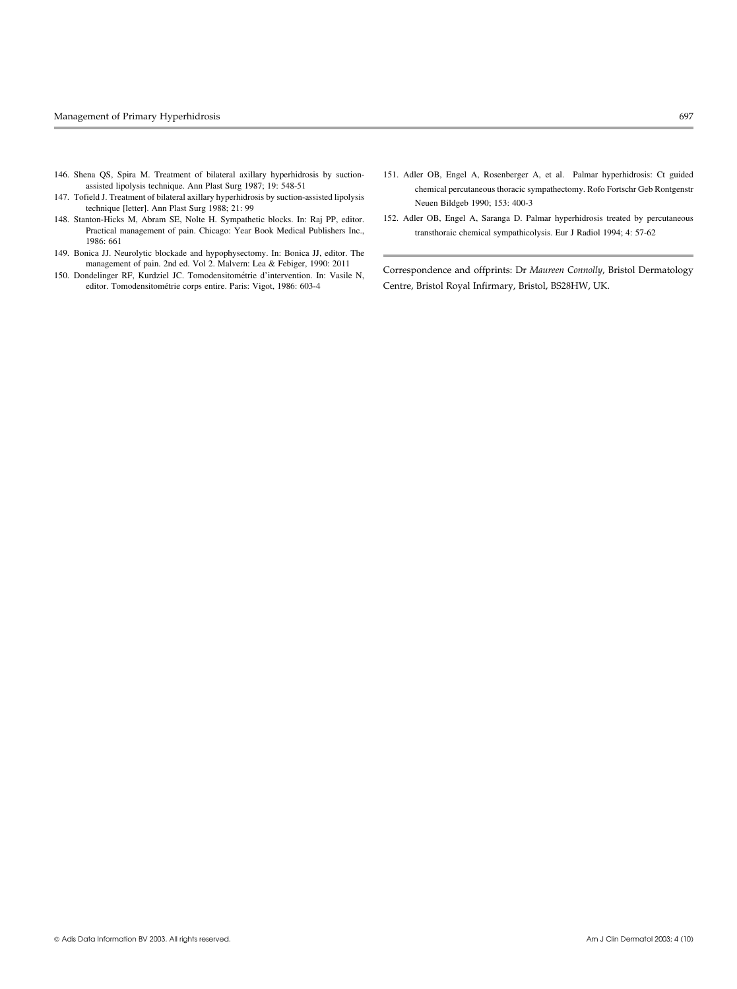- 
- 147. Tofield J. Treatment of bilateral axillary hyperhidrosis by suction-assisted lipolysis<br>technique [letter]. Ann Plast Surg 1988; 21: 99<br>148. Stanton-Hicks M, Abram SE, Nolte H. Sympathetic blocks. In: Raj PP, editor. 1
- 148. Stanton-Hicks M, Abram SE, Nolte H. Sympathetic blocks. In: Raj PP, editor. Practical management of pain. Chicago: Year Book Medical Publishers Inc., 1986: 661
- 149. Bonica JJ. Neurolytic blockade and hypophysectomy. In: Bonica JJ, editor. The
- editor. Tomodensitométrie corps entire. Paris: Vigot, 1986: 603-4
- 146. Shena QS, Spira M. Treatment of bilateral axillary hyperhidrosis by suction- 151. Adler OB, Engel A, Rosenberger A, et al. Palmar hyperhidrosis: Ct guided assisted lipolysis technique. Ann Plast Surg 1987; 19: 548-51 chemical percutaneous thoracic sympathectomy. Rofo Fortschr Geb Rontgenstr
	- transthoraic chemical sympathicolysis. Eur J Radiol 1994; 4: 57-62

150. Dondelinger RF, Kurdziel JC. Tomodensitométrie d'intervention. In: Vasile N,<br>150. Dondelinger RF, Kurdziel JC. Tomodensitométrie d'intervention. In: Vasile N,<br>1996: 603-4 Centre, Bristol Royal Infirmary, Bristol, BS28